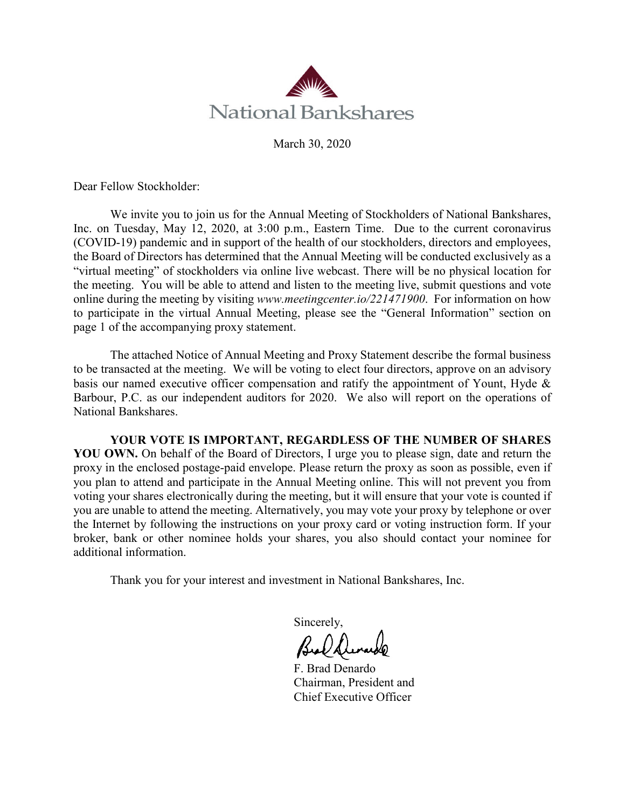

March 30, 2020

Dear Fellow Stockholder:

We invite you to join us for the Annual Meeting of Stockholders of National Bankshares, Inc. on Tuesday, May 12, 2020, at 3:00 p.m., Eastern Time. Due to the current coronavirus (COVID-19) pandemic and in support of the health of our stockholders, directors and employees, the Board of Directors has determined that the Annual Meeting will be conducted exclusively as a "virtual meeting" of stockholders via online live webcast. There will be no physical location for the meeting. You will be able to attend and listen to the meeting live, submit questions and vote online during the meeting by visiting *www.meetingcenter.io/221471900*. For information on how to participate in the virtual Annual Meeting, please see the "General Information" section on page 1 of the accompanying proxy statement.

The attached Notice of Annual Meeting and Proxy Statement describe the formal business to be transacted at the meeting. We will be voting to elect four directors, approve on an advisory basis our named executive officer compensation and ratify the appointment of Yount, Hyde & Barbour, P.C. as our independent auditors for 2020. We also will report on the operations of National Bankshares.

**YOUR VOTE IS IMPORTANT, REGARDLESS OF THE NUMBER OF SHARES YOU OWN.** On behalf of the Board of Directors, I urge you to please sign, date and return the proxy in the enclosed postage-paid envelope. Please return the proxy as soon as possible, even if you plan to attend and participate in the Annual Meeting online. This will not prevent you from voting your shares electronically during the meeting, but it will ensure that your vote is counted if you are unable to attend the meeting. Alternatively, you may vote your proxy by telephone or over the Internet by following the instructions on your proxy card or voting instruction form. If your broker, bank or other nominee holds your shares, you also should contact your nominee for additional information.

Thank you for your interest and investment in National Bankshares, Inc.

Sincerely,

F. Brad Denardo Chairman, President and Chief Executive Officer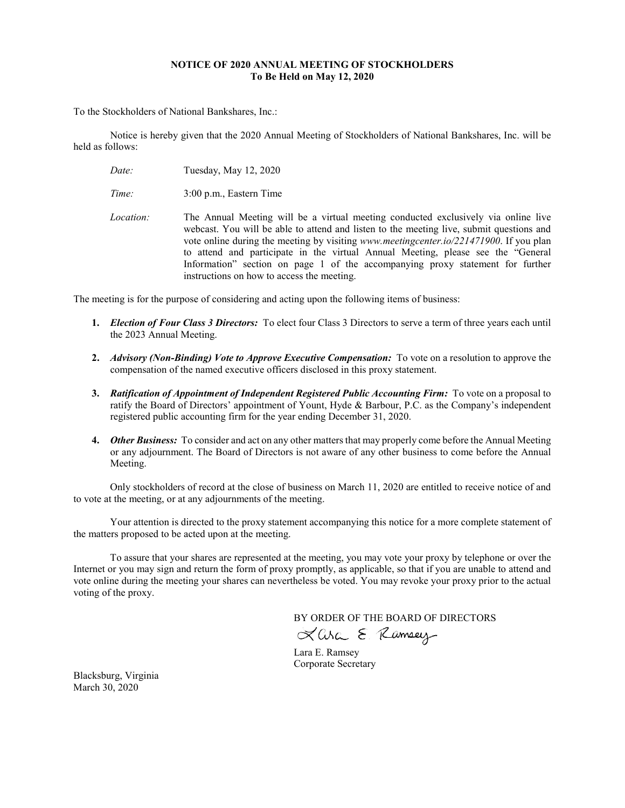# **NOTICE OF 2020 ANNUAL MEETING OF STOCKHOLDERS To Be Held on May 12, 2020**

To the Stockholders of National Bankshares, Inc.:

Notice is hereby given that the 2020 Annual Meeting of Stockholders of National Bankshares, Inc. will be held as follows:

*Date:* Tuesday, May 12, 2020

*Time:* 3:00 p.m., Eastern Time

*Location:* The Annual Meeting will be a virtual meeting conducted exclusively via online live webcast. You will be able to attend and listen to the meeting live, submit questions and vote online during the meeting by visiting *www.meetingcenter.io/221471900*. If you plan to attend and participate in the virtual Annual Meeting, please see the "General Information" section on page 1 of the accompanying proxy statement for further instructions on how to access the meeting.

The meeting is for the purpose of considering and acting upon the following items of business:

- **1.** *Election of Four Class 3 Directors:* To elect four Class 3 Directors to serve a term of three years each until the 2023 Annual Meeting.
- **2.** *Advisory (Non-Binding) Vote to Approve Executive Compensation:* To vote on a resolution to approve the compensation of the named executive officers disclosed in this proxy statement.
- **3.** *Ratification of Appointment of Independent Registered Public Accounting Firm:* To vote on a proposal to ratify the Board of Directors' appointment of Yount, Hyde & Barbour, P.C. as the Company's independent registered public accounting firm for the year ending December 31, 2020.
- **4.** *Other Business:* To consider and act on any other matters that may properly come before the Annual Meeting or any adjournment. The Board of Directors is not aware of any other business to come before the Annual Meeting.

Only stockholders of record at the close of business on March 11, 2020 are entitled to receive notice of and to vote at the meeting, or at any adjournments of the meeting.

Your attention is directed to the proxy statement accompanying this notice for a more complete statement of the matters proposed to be acted upon at the meeting.

To assure that your shares are represented at the meeting, you may vote your proxy by telephone or over the Internet or you may sign and return the form of proxy promptly, as applicable, so that if you are unable to attend and vote online during the meeting your shares can nevertheless be voted. You may revoke your proxy prior to the actual voting of the proxy.

BY ORDER OF THE BOARD OF DIRECTORS<br> $X$  Corc  $\Sigma$  *(Compary*)

Lara E. Ramsey Corporate Secretary

Blacksburg, Virginia March 30, 2020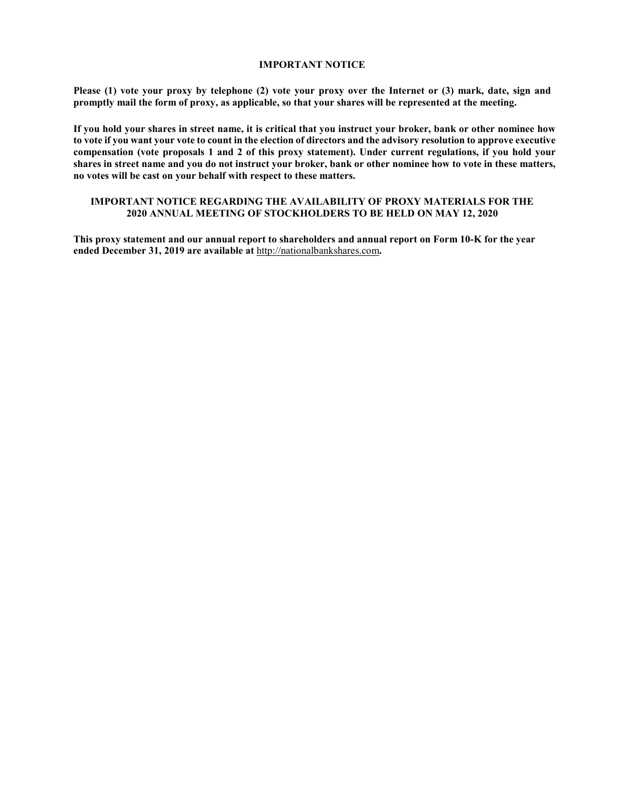# **IMPORTANT NOTICE**

**Please (1) vote your proxy by telephone (2) vote your proxy over the Internet or (3) mark, date, sign and promptly mail the form of proxy, as applicable, so that your shares will be represented at the meeting.**

**If you hold your shares in street name, it is critical that you instruct your broker, bank or other nominee how to vote if you want your vote to count in the election of directors and the advisory resolution to approve executive compensation (vote proposals 1 and 2 of this proxy statement). Under current regulations, if you hold your shares in street name and you do not instruct your broker, bank or other nominee how to vote in these matters, no votes will be cast on your behalf with respect to these matters.**

# **IMPORTANT NOTICE REGARDING THE AVAILABILITY OF PROXY MATERIALS FOR THE 2020 ANNUAL MEETING OF STOCKHOLDERS TO BE HELD ON MAY 12, 2020**

**This proxy statement and our annual report to shareholders and annual report on Form 10-K for the year ended December 31, 2019 are available at** [http://nationalbankshares.com](http://nationalbankshares.com/)**.**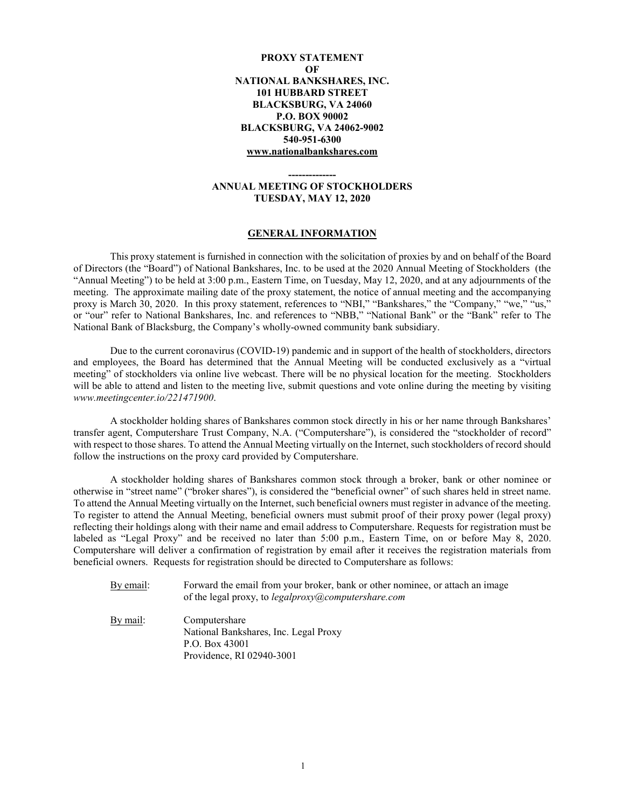# **PROXY STATEMENT OF NATIONAL BANKSHARES, INC. 101 HUBBARD STREET BLACKSBURG, VA 24060 P.O. BOX 90002 BLACKSBURG, VA 24062-9002 540-951-6300 [www.nationalbankshares.com](http://www.nationalbankshares.com/)**

# **-------------- ANNUAL MEETING OF STOCKHOLDERS TUESDAY, MAY 12, 2020**

#### **GENERAL INFORMATION**

This proxy statement is furnished in connection with the solicitation of proxies by and on behalf of the Board of Directors (the "Board") of National Bankshares, Inc. to be used at the 2020 Annual Meeting of Stockholders (the "Annual Meeting") to be held at 3:00 p.m., Eastern Time, on Tuesday, May 12, 2020, and at any adjournments of the meeting. The approximate mailing date of the proxy statement, the notice of annual meeting and the accompanying proxy is March 30, 2020. In this proxy statement, references to "NBI," "Bankshares," the "Company," "we," "us," or "our" refer to National Bankshares, Inc. and references to "NBB," "National Bank" or the "Bank" refer to The National Bank of Blacksburg, the Company's wholly-owned community bank subsidiary.

Due to the current coronavirus (COVID-19) pandemic and in support of the health of stockholders, directors and employees, the Board has determined that the Annual Meeting will be conducted exclusively as a "virtual meeting" of stockholders via online live webcast. There will be no physical location for the meeting. Stockholders will be able to attend and listen to the meeting live, submit questions and vote online during the meeting by visiting *www.meetingcenter.io/221471900*.

A stockholder holding shares of Bankshares common stock directly in his or her name through Bankshares' transfer agent, Computershare Trust Company, N.A. ("Computershare"), is considered the "stockholder of record" with respect to those shares. To attend the Annual Meeting virtually on the Internet, such stockholders of record should follow the instructions on the proxy card provided by Computershare.

A stockholder holding shares of Bankshares common stock through a broker, bank or other nominee or otherwise in "street name" ("broker shares"), is considered the "beneficial owner" of such shares held in street name. To attend the Annual Meeting virtually on the Internet, such beneficial owners must register in advance of the meeting. To register to attend the Annual Meeting, beneficial owners must submit proof of their proxy power (legal proxy) reflecting their holdings along with their name and email address to Computershare. Requests for registration must be labeled as "Legal Proxy" and be received no later than 5:00 p.m., Eastern Time, on or before May 8, 2020. Computershare will deliver a confirmation of registration by email after it receives the registration materials from beneficial owners. Requests for registration should be directed to Computershare as follows:

By email: Forward the email from your broker, bank or other nominee, or attach an image of the legal proxy, to *[legalproxy@computershare.com](mailto:legalproxy@computershare.com)*

By mail: Computershare National Bankshares, Inc. Legal Proxy P.O. Box 43001 Providence, RI 02940-3001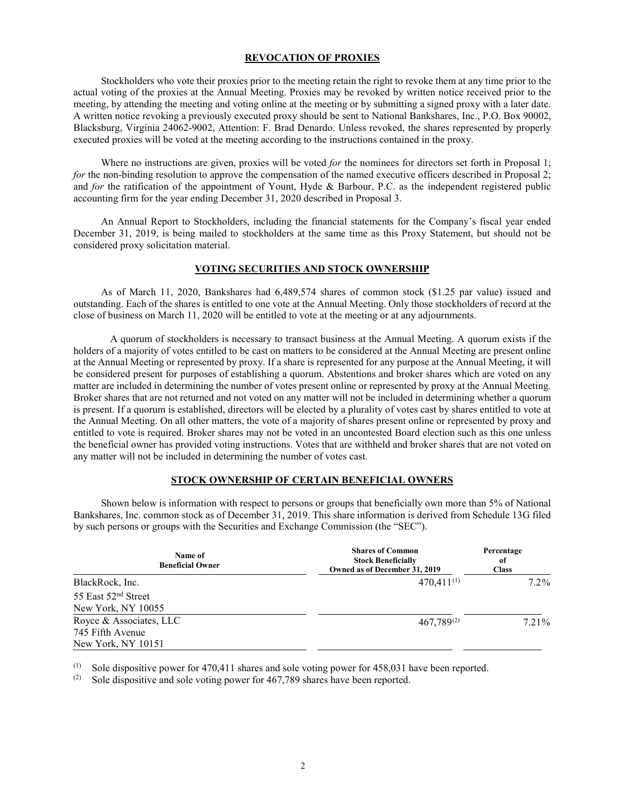# **REVOCATION OF PROXIES**

Stockholders who vote their proxies prior to the meeting retain the right to revoke them at any time prior to the actual voting of the proxies at the Annual Meeting. Proxies may be revoked by written notice received prior to the meeting, by attending the meeting and voting online at the meeting or by submitting a signed proxy with a later date. A written notice revoking a previously executed proxy should be sent to National Bankshares, Inc., P.O. Box 90002, Blacksburg, Virginia 24062-9002, Attention: F. Brad Denardo. Unless revoked, the shares represented by properly executed proxies will be voted at the meeting according to the instructions contained in the proxy.

Where no instructions are given, proxies will be voted *for* the nominees for directors set forth in Proposal 1; *for* the non-binding resolution to approve the compensation of the named executive officers described in Proposal 2; and *for* the ratification of the appointment of Yount, Hyde & Barbour, P.C. as the independent registered public accounting firm for the year ending December 31, 2020 described in Proposal 3.

An Annual Report to Stockholders, including the financial statements for the Company's fiscal year ended December 31, 2019, is being mailed to stockholders at the same time as this Proxy Statement, but should not be considered proxy solicitation material.

#### **VOTING SECURITIES AND STOCK OWNERSHIP**

As of March 11, 2020, Bankshares had 6,489,574 shares of common stock (\$1.25 par value) issued and outstanding. Each of the shares is entitled to one vote at the Annual Meeting. Only those stockholders of record at the close of business on March 11, 2020 will be entitled to vote at the meeting or at any adjournments.

A quorum of stockholders is necessary to transact business at the Annual Meeting. A quorum exists if the holders of a majority of votes entitled to be cast on matters to be considered at the Annual Meeting are present online at the Annual Meeting or represented by proxy. If a share is represented for any purpose at the Annual Meeting, it will be considered present for purposes of establishing a quorum. Abstentions and broker shares which are voted on any matter are included in determining the number of votes present online or represented by proxy at the Annual Meeting. Broker shares that are not returned and not voted on any matter will not be included in determining whether a quorum is present. If a quorum is established, directors will be elected by a plurality of votes cast by shares entitled to vote at the Annual Meeting. On all other matters, the vote of a majority of shares present online or represented by proxy and entitled to vote is required. Broker shares may not be voted in an uncontested Board election such as this one unless the beneficial owner has provided voting instructions. Votes that are withheld and broker shares that are not voted on any matter will not be included in determining the number of votes cast.

# **STOCK OWNERSHIP OF CERTAIN BENEFICIAL OWNERS**

Shown below is information with respect to persons or groups that beneficially own more than 5% of National Bankshares, Inc. common stock as of December 31, 2019. This share information is derived from Schedule 13G filed by such persons or groups with the Securities and Exchange Commission (the "SEC").

| Name of<br><b>Beneficial Owner</b> | <b>Shares of Common</b><br><b>Stock Beneficially</b><br>Owned as of December 31, 2019 | Percentage<br>of<br><b>Class</b> |
|------------------------------------|---------------------------------------------------------------------------------------|----------------------------------|
| BlackRock, Inc.                    | $470,411^{(1)}$                                                                       | $7.2\%$                          |
| 55 East 52 <sup>nd</sup> Street    |                                                                                       |                                  |
| New York, NY 10055                 |                                                                                       |                                  |
| Royce & Associates, LLC            | $467,789^{(2)}$                                                                       | 7.21%                            |
| 745 Fifth Avenue                   |                                                                                       |                                  |
| New York, NY 10151                 |                                                                                       |                                  |

(1) Sole dispositive power for 470,411 shares and sole voting power for 458,031 have been reported.<br>(2) Sole dispositive and sole voting power for 467.789 shares have been reported

Sole dispositive and sole voting power for 467,789 shares have been reported.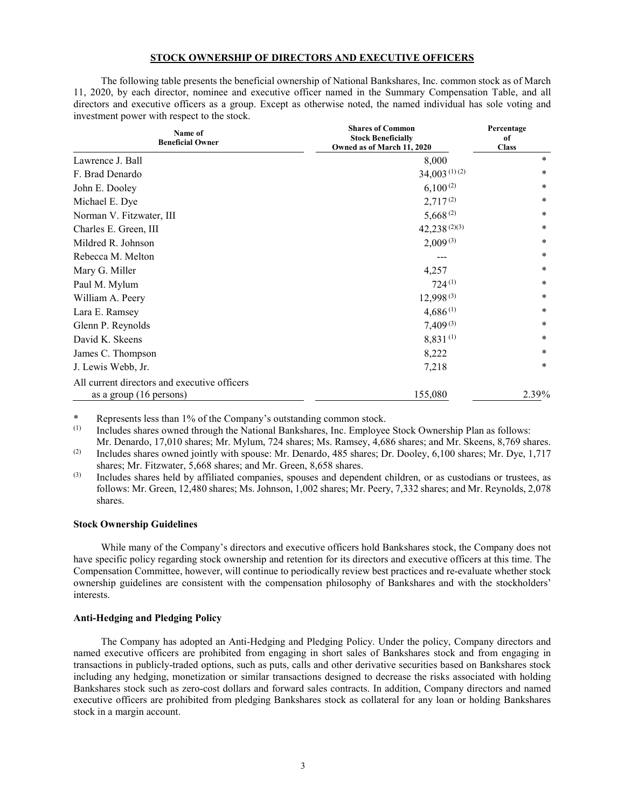# **STOCK OWNERSHIP OF DIRECTORS AND EXECUTIVE OFFICERS**

The following table presents the beneficial ownership of National Bankshares, Inc. common stock as of March 11, 2020, by each director, nominee and executive officer named in the Summary Compensation Table, and all directors and executive officers as a group. Except as otherwise noted, the named individual has sole voting and investment power with respect to the stock.

| Name of<br><b>Beneficial Owner</b>                                      | <b>Shares of Common</b><br><b>Stock Beneficially</b><br>Owned as of March 11, 2020 | Percentage<br>of<br><b>Class</b> |
|-------------------------------------------------------------------------|------------------------------------------------------------------------------------|----------------------------------|
| Lawrence J. Ball                                                        | 8,000                                                                              | $\ast$                           |
| F. Brad Denardo                                                         | $34,003$ <sup>(1)</sup> (2)                                                        | $\ast$                           |
| John E. Dooley                                                          | $6,100^{(2)}$                                                                      | *                                |
| Michael E. Dye                                                          | $2,717^{(2)}$                                                                      | $\ast$                           |
| Norman V. Fitzwater, III                                                | $5,668^{(2)}$                                                                      | *                                |
| Charles E. Green, III                                                   | $42,238^{(2)(3)}$                                                                  | $\ast$                           |
| Mildred R. Johnson                                                      | $2,009^{(3)}$                                                                      | $\ast$                           |
| Rebecca M. Melton                                                       |                                                                                    | $\ast$                           |
| Mary G. Miller                                                          | 4,257                                                                              | *                                |
| Paul M. Mylum                                                           | $724^{(1)}$                                                                        | *                                |
| William A. Peery                                                        | $12,998^{(3)}$                                                                     | $\ast$                           |
| Lara E. Ramsey                                                          | $4,686^{(1)}$                                                                      | $\ast$                           |
| Glenn P. Reynolds                                                       | $7,409^{(3)}$                                                                      | $\ast$                           |
| David K. Skeens                                                         | 8,831(1)                                                                           | $\ast$                           |
| James C. Thompson                                                       | 8,222                                                                              | *                                |
| J. Lewis Webb, Jr.                                                      | 7,218                                                                              | $\ast$                           |
| All current directors and executive officers<br>as a group (16 persons) | 155,080                                                                            | 2.39%                            |

\* Represents less than 1% of the Company's outstanding common stock.<br>(1) Includes shares owned through the National Bankshares. Inc. Employee

Includes shares owned through the National Bankshares, Inc. Employee Stock Ownership Plan as follows:

Mr. Denardo, 17,010 shares; Mr. Mylum, 724 shares; Ms. Ramsey, 4,686 shares; and Mr. Skeens, 8,769 shares. (2) Includes shares owned jointly with spouse: Mr. Denardo, 485 shares; Dr. Dooley, 6,100 shares; Mr. Dye, 1,717 shares; Mr. Fitzwater, 5,668 shares; and Mr. Green, 8,658 shares.

(3) Includes shares held by affiliated companies, spouses and dependent children, or as custodians or trustees, as follows: Mr. Green, 12,480 shares; Ms. Johnson, 1,002 shares; Mr. Peery, 7,332 shares; and Mr. Reynolds, 2,078 shares.

#### **Stock Ownership Guidelines**

While many of the Company's directors and executive officers hold Bankshares stock, the Company does not have specific policy regarding stock ownership and retention for its directors and executive officers at this time. The Compensation Committee, however, will continue to periodically review best practices and re-evaluate whether stock ownership guidelines are consistent with the compensation philosophy of Bankshares and with the stockholders' interests.

# **Anti-Hedging and Pledging Policy**

The Company has adopted an Anti-Hedging and Pledging Policy. Under the policy, Company directors and named executive officers are prohibited from engaging in short sales of Bankshares stock and from engaging in transactions in publicly-traded options, such as puts, calls and other derivative securities based on Bankshares stock including any hedging, monetization or similar transactions designed to decrease the risks associated with holding Bankshares stock such as zero-cost dollars and forward sales contracts. In addition, Company directors and named executive officers are prohibited from pledging Bankshares stock as collateral for any loan or holding Bankshares stock in a margin account.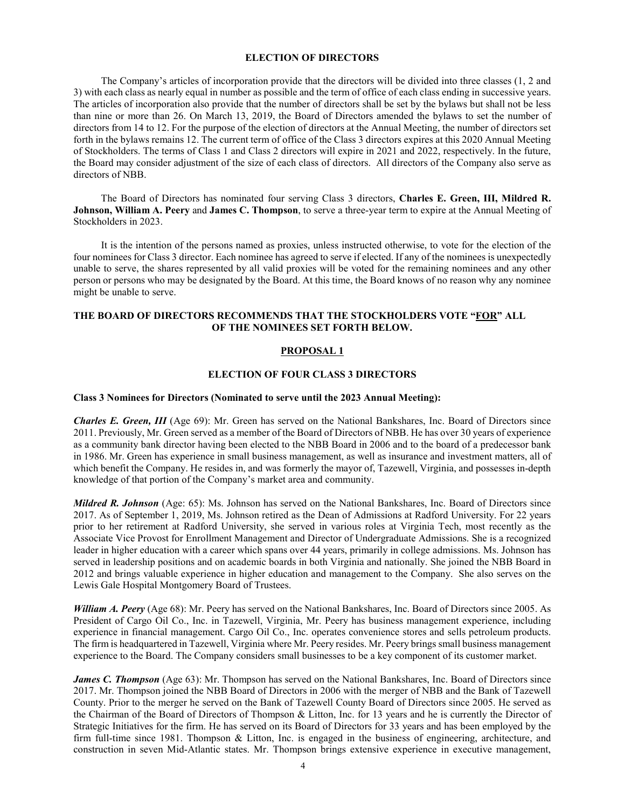# **ELECTION OF DIRECTORS**

The Company's articles of incorporation provide that the directors will be divided into three classes (1, 2 and 3) with each class as nearly equal in number as possible and the term of office of each class ending in successive years. The articles of incorporation also provide that the number of directors shall be set by the bylaws but shall not be less than nine or more than 26. On March 13, 2019, the Board of Directors amended the bylaws to set the number of directors from 14 to 12. For the purpose of the election of directors at the Annual Meeting, the number of directors set forth in the bylaws remains 12. The current term of office of the Class 3 directors expires at this 2020 Annual Meeting of Stockholders. The terms of Class 1 and Class 2 directors will expire in 2021 and 2022, respectively. In the future, the Board may consider adjustment of the size of each class of directors. All directors of the Company also serve as directors of NBB.

The Board of Directors has nominated four serving Class 3 directors, **Charles E. Green, III, Mildred R. Johnson, William A. Peery** and **James C. Thompson**, to serve a three-year term to expire at the Annual Meeting of Stockholders in 2023.

It is the intention of the persons named as proxies, unless instructed otherwise, to vote for the election of the four nominees for Class 3 director. Each nominee has agreed to serve if elected. If any of the nominees is unexpectedly unable to serve, the shares represented by all valid proxies will be voted for the remaining nominees and any other person or persons who may be designated by the Board. At this time, the Board knows of no reason why any nominee might be unable to serve.

# **THE BOARD OF DIRECTORS RECOMMENDS THAT THE STOCKHOLDERS VOTE "FOR" ALL OF THE NOMINEES SET FORTH BELOW.**

# **PROPOSAL 1**

#### **ELECTION OF FOUR CLASS 3 DIRECTORS**

# **Class 3 Nominees for Directors (Nominated to serve until the 2023 Annual Meeting):**

*Charles E. Green, III* (Age 69): Mr. Green has served on the National Bankshares, Inc. Board of Directors since 2011. Previously, Mr. Green served as a member of the Board of Directors of NBB. He has over 30 years of experience as a community bank director having been elected to the NBB Board in 2006 and to the board of a predecessor bank in 1986. Mr. Green has experience in small business management, as well as insurance and investment matters, all of which benefit the Company. He resides in, and was formerly the mayor of, Tazewell, Virginia, and possesses in-depth knowledge of that portion of the Company's market area and community.

*Mildred R. Johnson* (Age: 65): Ms. Johnson has served on the National Bankshares, Inc. Board of Directors since 2017. As of September 1, 2019, Ms. Johnson retired as the Dean of Admissions at Radford University. For 22 years prior to her retirement at Radford University, she served in various roles at Virginia Tech, most recently as the Associate Vice Provost for Enrollment Management and Director of Undergraduate Admissions. She is a recognized leader in higher education with a career which spans over 44 years, primarily in college admissions. Ms. Johnson has served in leadership positions and on academic boards in both Virginia and nationally. She joined the NBB Board in 2012 and brings valuable experience in higher education and management to the Company. She also serves on the Lewis Gale Hospital Montgomery Board of Trustees.

*William A. Peery* (Age 68): Mr. Peery has served on the National Bankshares, Inc. Board of Directors since 2005. As President of Cargo Oil Co., Inc. in Tazewell, Virginia, Mr. Peery has business management experience, including experience in financial management. Cargo Oil Co., Inc. operates convenience stores and sells petroleum products. The firm is headquartered in Tazewell, Virginia where Mr. Peery resides. Mr. Peery brings small business management experience to the Board. The Company considers small businesses to be a key component of its customer market.

*James C. Thompson* (Age 63): Mr. Thompson has served on the National Bankshares, Inc. Board of Directors since 2017. Mr. Thompson joined the NBB Board of Directors in 2006 with the merger of NBB and the Bank of Tazewell County. Prior to the merger he served on the Bank of Tazewell County Board of Directors since 2005. He served as the Chairman of the Board of Directors of Thompson & Litton, Inc. for 13 years and he is currently the Director of Strategic Initiatives for the firm. He has served on its Board of Directors for 33 years and has been employed by the firm full-time since 1981. Thompson & Litton, Inc. is engaged in the business of engineering, architecture, and construction in seven Mid-Atlantic states. Mr. Thompson brings extensive experience in executive management,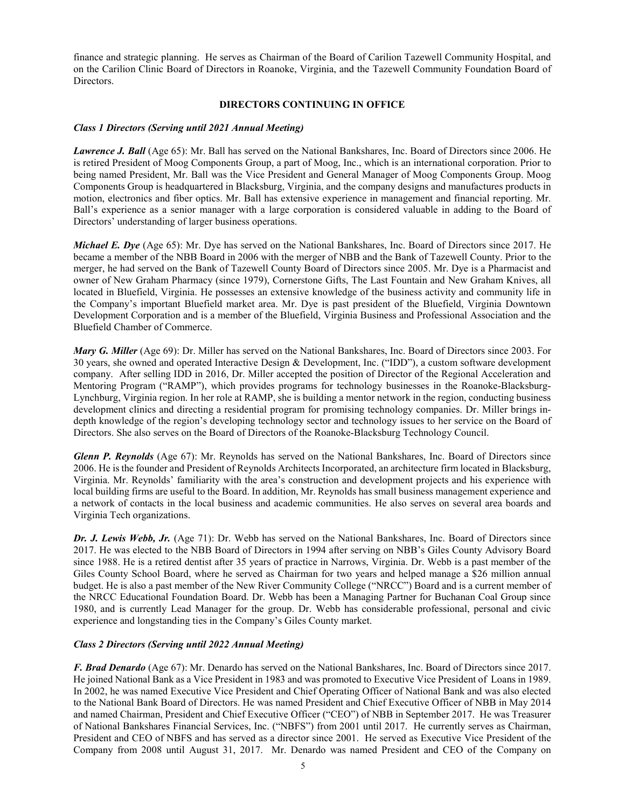finance and strategic planning. He serves as Chairman of the Board of Carilion Tazewell Community Hospital, and on the Carilion Clinic Board of Directors in Roanoke, Virginia, and the Tazewell Community Foundation Board of Directors.

# **DIRECTORS CONTINUING IN OFFICE**

# *Class 1 Directors (Serving until 2021 Annual Meeting)*

*Lawrence J. Ball* (Age 65): Mr. Ball has served on the National Bankshares, Inc. Board of Directors since 2006. He is retired President of Moog Components Group, a part of Moog, Inc., which is an international corporation. Prior to being named President, Mr. Ball was the Vice President and General Manager of Moog Components Group. Moog Components Group is headquartered in Blacksburg, Virginia, and the company designs and manufactures products in motion, electronics and fiber optics. Mr. Ball has extensive experience in management and financial reporting. Mr. Ball's experience as a senior manager with a large corporation is considered valuable in adding to the Board of Directors' understanding of larger business operations.

*Michael E. Dye* (Age 65): Mr. Dye has served on the National Bankshares, Inc. Board of Directors since 2017. He became a member of the NBB Board in 2006 with the merger of NBB and the Bank of Tazewell County. Prior to the merger, he had served on the Bank of Tazewell County Board of Directors since 2005. Mr. Dye is a Pharmacist and owner of New Graham Pharmacy (since 1979), Cornerstone Gifts, The Last Fountain and New Graham Knives, all located in Bluefield, Virginia. He possesses an extensive knowledge of the business activity and community life in the Company's important Bluefield market area. Mr. Dye is past president of the Bluefield, Virginia Downtown Development Corporation and is a member of the Bluefield, Virginia Business and Professional Association and the Bluefield Chamber of Commerce.

*Mary G. Miller* (Age 69): Dr. Miller has served on the National Bankshares, Inc. Board of Directors since 2003. For 30 years, she owned and operated Interactive Design & Development, Inc. ("IDD"), a custom software development company. After selling IDD in 2016, Dr. Miller accepted the position of Director of the Regional Acceleration and Mentoring Program ("RAMP"), which provides programs for technology businesses in the Roanoke-Blacksburg-Lynchburg, Virginia region. In her role at RAMP, she is building a mentor network in the region, conducting business development clinics and directing a residential program for promising technology companies. Dr. Miller brings indepth knowledge of the region's developing technology sector and technology issues to her service on the Board of Directors. She also serves on the Board of Directors of the Roanoke-Blacksburg Technology Council.

*Glenn P. Reynolds* (Age 67): Mr. Reynolds has served on the National Bankshares, Inc. Board of Directors since 2006. He is the founder and President of Reynolds Architects Incorporated, an architecture firm located in Blacksburg, Virginia. Mr. Reynolds' familiarity with the area's construction and development projects and his experience with local building firms are useful to the Board. In addition, Mr. Reynolds has small business management experience and a network of contacts in the local business and academic communities. He also serves on several area boards and Virginia Tech organizations.

*Dr. J. Lewis Webb, Jr.* (Age 71): Dr. Webb has served on the National Bankshares, Inc. Board of Directors since 2017. He was elected to the NBB Board of Directors in 1994 after serving on NBB's Giles County Advisory Board since 1988. He is a retired dentist after 35 years of practice in Narrows, Virginia. Dr. Webb is a past member of the Giles County School Board, where he served as Chairman for two years and helped manage a \$26 million annual budget. He is also a past member of the New River Community College ("NRCC") Board and is a current member of the NRCC Educational Foundation Board. Dr. Webb has been a Managing Partner for Buchanan Coal Group since 1980, and is currently Lead Manager for the group. Dr. Webb has considerable professional, personal and civic experience and longstanding ties in the Company's Giles County market.

# *Class 2 Directors (Serving until 2022 Annual Meeting)*

*F. Brad Denardo* (Age 67): Mr. Denardo has served on the National Bankshares, Inc. Board of Directors since 2017. He joined National Bank as a Vice President in 1983 and was promoted to Executive Vice President of Loans in 1989. In 2002, he was named Executive Vice President and Chief Operating Officer of National Bank and was also elected to the National Bank Board of Directors. He was named President and Chief Executive Officer of NBB in May 2014 and named Chairman, President and Chief Executive Officer ("CEO") of NBB in September 2017. He was Treasurer of National Bankshares Financial Services, Inc. ("NBFS") from 2001 until 2017. He currently serves as Chairman, President and CEO of NBFS and has served as a director since 2001. He served as Executive Vice President of the Company from 2008 until August 31, 2017. Mr. Denardo was named President and CEO of the Company on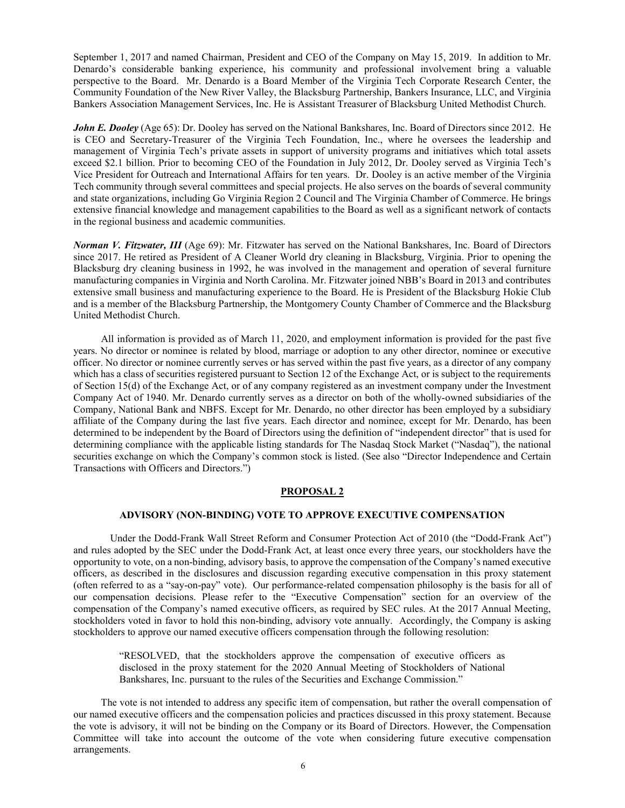September 1, 2017 and named Chairman, President and CEO of the Company on May 15, 2019. In addition to Mr. Denardo's considerable banking experience, his community and professional involvement bring a valuable perspective to the Board. Mr. Denardo is a Board Member of the Virginia Tech Corporate Research Center, the Community Foundation of the New River Valley, the Blacksburg Partnership, Bankers Insurance, LLC, and Virginia Bankers Association Management Services, Inc. He is Assistant Treasurer of Blacksburg United Methodist Church.

*John E. Dooley* (Age 65): Dr. Dooley has served on the National Bankshares, Inc. Board of Directors since 2012. He is CEO and Secretary-Treasurer of the Virginia Tech Foundation, Inc., where he oversees the leadership and management of Virginia Tech's private assets in support of university programs and initiatives which total assets exceed \$2.1 billion. Prior to becoming CEO of the Foundation in July 2012, Dr. Dooley served as Virginia Tech's Vice President for Outreach and International Affairs for ten years. Dr. Dooley is an active member of the Virginia Tech community through several committees and special projects. He also serves on the boards of several community and state organizations, including Go Virginia Region 2 Council and The Virginia Chamber of Commerce. He brings extensive financial knowledge and management capabilities to the Board as well as a significant network of contacts in the regional business and academic communities.

*Norman V. Fitzwater, III* (Age 69): Mr. Fitzwater has served on the National Bankshares, Inc. Board of Directors since 2017. He retired as President of A Cleaner World dry cleaning in Blacksburg, Virginia. Prior to opening the Blacksburg dry cleaning business in 1992, he was involved in the management and operation of several furniture manufacturing companies in Virginia and North Carolina. Mr. Fitzwater joined NBB's Board in 2013 and contributes extensive small business and manufacturing experience to the Board. He is President of the Blacksburg Hokie Club and is a member of the Blacksburg Partnership, the Montgomery County Chamber of Commerce and the Blacksburg United Methodist Church.

All information is provided as of March 11, 2020, and employment information is provided for the past five years. No director or nominee is related by blood, marriage or adoption to any other director, nominee or executive officer. No director or nominee currently serves or has served within the past five years, as a director of any company which has a class of securities registered pursuant to Section 12 of the Exchange Act, or is subject to the requirements of Section 15(d) of the Exchange Act, or of any company registered as an investment company under the Investment Company Act of 1940. Mr. Denardo currently serves as a director on both of the wholly-owned subsidiaries of the Company, National Bank and NBFS. Except for Mr. Denardo, no other director has been employed by a subsidiary affiliate of the Company during the last five years. Each director and nominee, except for Mr. Denardo, has been determined to be independent by the Board of Directors using the definition of "independent director" that is used for determining compliance with the applicable listing standards for The Nasdaq Stock Market ("Nasdaq"), the national securities exchange on which the Company's common stock is listed. (See also "Director Independence and Certain Transactions with Officers and Directors.")

# **PROPOSAL 2**

#### **ADVISORY (NON-BINDING) VOTE TO APPROVE EXECUTIVE COMPENSATION**

Under the Dodd-Frank Wall Street Reform and Consumer Protection Act of 2010 (the "Dodd-Frank Act") and rules adopted by the SEC under the Dodd-Frank Act, at least once every three years, our stockholders have the opportunity to vote, on a non-binding, advisory basis, to approve the compensation of the Company's named executive officers, as described in the disclosures and discussion regarding executive compensation in this proxy statement (often referred to as a "say-on-pay" vote). Our performance-related compensation philosophy is the basis for all of our compensation decisions. Please refer to the "Executive Compensation" section for an overview of the compensation of the Company's named executive officers, as required by SEC rules. At the 2017 Annual Meeting, stockholders voted in favor to hold this non-binding, advisory vote annually. Accordingly, the Company is asking stockholders to approve our named executive officers compensation through the following resolution:

"RESOLVED, that the stockholders approve the compensation of executive officers as disclosed in the proxy statement for the 2020 Annual Meeting of Stockholders of National Bankshares, Inc. pursuant to the rules of the Securities and Exchange Commission."

The vote is not intended to address any specific item of compensation, but rather the overall compensation of our named executive officers and the compensation policies and practices discussed in this proxy statement. Because the vote is advisory, it will not be binding on the Company or its Board of Directors. However, the Compensation Committee will take into account the outcome of the vote when considering future executive compensation arrangements.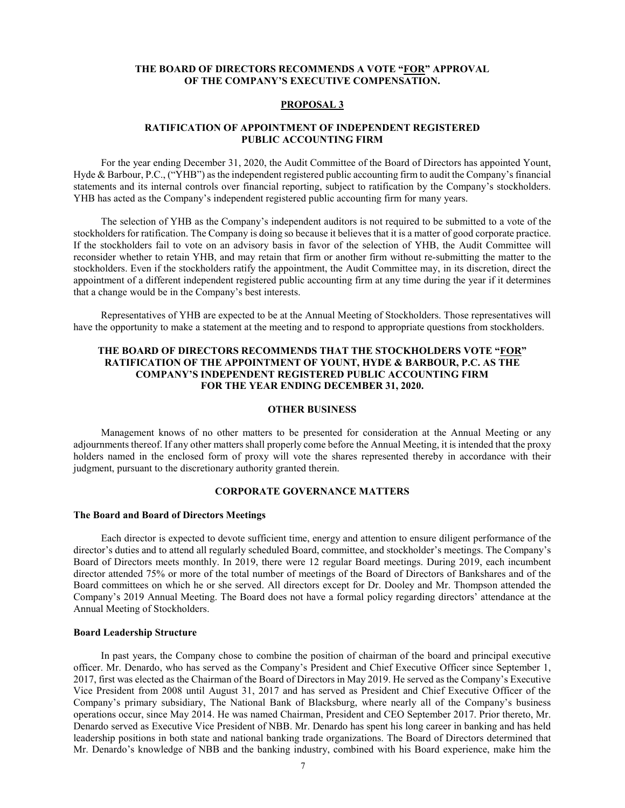# **THE BOARD OF DIRECTORS RECOMMENDS A VOTE "FOR" APPROVAL OF THE COMPANY'S EXECUTIVE COMPENSATION.**

#### **PROPOSAL 3**

# **RATIFICATION OF APPOINTMENT OF INDEPENDENT REGISTERED PUBLIC ACCOUNTING FIRM**

For the year ending December 31, 2020, the Audit Committee of the Board of Directors has appointed Yount, Hyde & Barbour, P.C., ("YHB") as the independent registered public accounting firm to audit the Company's financial statements and its internal controls over financial reporting, subject to ratification by the Company's stockholders. YHB has acted as the Company's independent registered public accounting firm for many years.

The selection of YHB as the Company's independent auditors is not required to be submitted to a vote of the stockholders for ratification. The Company is doing so because it believes that it is a matter of good corporate practice. If the stockholders fail to vote on an advisory basis in favor of the selection of YHB, the Audit Committee will reconsider whether to retain YHB, and may retain that firm or another firm without re-submitting the matter to the stockholders. Even if the stockholders ratify the appointment, the Audit Committee may, in its discretion, direct the appointment of a different independent registered public accounting firm at any time during the year if it determines that a change would be in the Company's best interests.

Representatives of YHB are expected to be at the Annual Meeting of Stockholders. Those representatives will have the opportunity to make a statement at the meeting and to respond to appropriate questions from stockholders.

# **THE BOARD OF DIRECTORS RECOMMENDS THAT THE STOCKHOLDERS VOTE "FOR" RATIFICATION OF THE APPOINTMENT OF YOUNT, HYDE & BARBOUR, P.C. AS THE COMPANY'S INDEPENDENT REGISTERED PUBLIC ACCOUNTING FIRM FOR THE YEAR ENDING DECEMBER 31, 2020.**

# **OTHER BUSINESS**

Management knows of no other matters to be presented for consideration at the Annual Meeting or any adjournments thereof. If any other matters shall properly come before the Annual Meeting, it is intended that the proxy holders named in the enclosed form of proxy will vote the shares represented thereby in accordance with their judgment, pursuant to the discretionary authority granted therein.

# **CORPORATE GOVERNANCE MATTERS**

#### **The Board and Board of Directors Meetings**

Each director is expected to devote sufficient time, energy and attention to ensure diligent performance of the director's duties and to attend all regularly scheduled Board, committee, and stockholder's meetings. The Company's Board of Directors meets monthly. In 2019, there were 12 regular Board meetings. During 2019, each incumbent director attended 75% or more of the total number of meetings of the Board of Directors of Bankshares and of the Board committees on which he or she served. All directors except for Dr. Dooley and Mr. Thompson attended the Company's 2019 Annual Meeting. The Board does not have a formal policy regarding directors' attendance at the Annual Meeting of Stockholders.

#### **Board Leadership Structure**

In past years, the Company chose to combine the position of chairman of the board and principal executive officer. Mr. Denardo, who has served as the Company's President and Chief Executive Officer since September 1, 2017, first was elected as the Chairman of the Board of Directors in May 2019. He served as the Company's Executive Vice President from 2008 until August 31, 2017 and has served as President and Chief Executive Officer of the Company's primary subsidiary, The National Bank of Blacksburg, where nearly all of the Company's business operations occur, since May 2014. He was named Chairman, President and CEO September 2017. Prior thereto, Mr. Denardo served as Executive Vice President of NBB. Mr. Denardo has spent his long career in banking and has held leadership positions in both state and national banking trade organizations. The Board of Directors determined that Mr. Denardo's knowledge of NBB and the banking industry, combined with his Board experience, make him the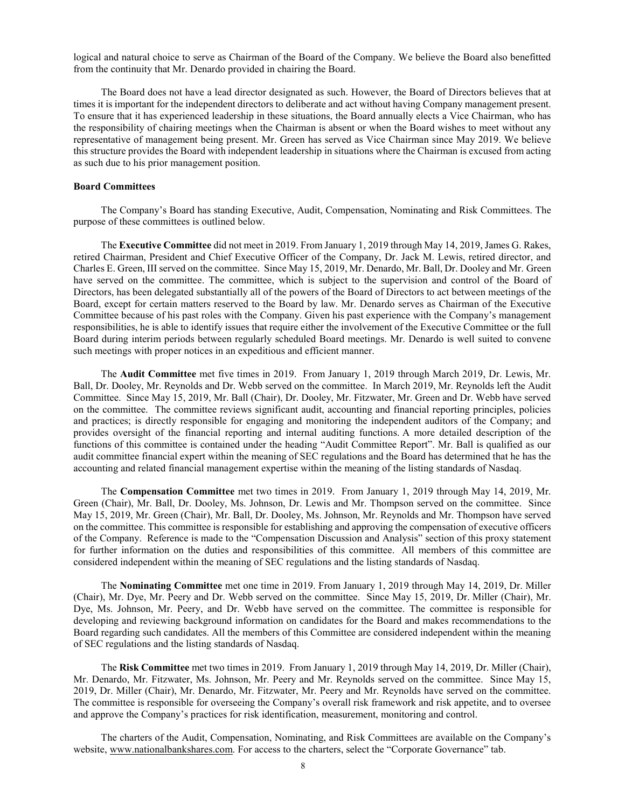logical and natural choice to serve as Chairman of the Board of the Company. We believe the Board also benefitted from the continuity that Mr. Denardo provided in chairing the Board.

The Board does not have a lead director designated as such. However, the Board of Directors believes that at times it is important for the independent directors to deliberate and act without having Company management present. To ensure that it has experienced leadership in these situations, the Board annually elects a Vice Chairman, who has the responsibility of chairing meetings when the Chairman is absent or when the Board wishes to meet without any representative of management being present. Mr. Green has served as Vice Chairman since May 2019. We believe this structure provides the Board with independent leadership in situations where the Chairman is excused from acting as such due to his prior management position.

# **Board Committees**

The Company's Board has standing Executive, Audit, Compensation, Nominating and Risk Committees. The purpose of these committees is outlined below.

The **Executive Committee** did not meet in 2019. From January 1, 2019 through May 14, 2019, James G. Rakes, retired Chairman, President and Chief Executive Officer of the Company, Dr. Jack M. Lewis, retired director, and Charles E. Green, III served on the committee. Since May 15, 2019, Mr. Denardo, Mr. Ball, Dr. Dooley and Mr. Green have served on the committee. The committee, which is subject to the supervision and control of the Board of Directors, has been delegated substantially all of the powers of the Board of Directors to act between meetings of the Board, except for certain matters reserved to the Board by law. Mr. Denardo serves as Chairman of the Executive Committee because of his past roles with the Company. Given his past experience with the Company's management responsibilities, he is able to identify issues that require either the involvement of the Executive Committee or the full Board during interim periods between regularly scheduled Board meetings. Mr. Denardo is well suited to convene such meetings with proper notices in an expeditious and efficient manner.

The **Audit Committee** met five times in 2019. From January 1, 2019 through March 2019, Dr. Lewis, Mr. Ball, Dr. Dooley, Mr. Reynolds and Dr. Webb served on the committee. In March 2019, Mr. Reynolds left the Audit Committee. Since May 15, 2019, Mr. Ball (Chair), Dr. Dooley, Mr. Fitzwater, Mr. Green and Dr. Webb have served on the committee. The committee reviews significant audit, accounting and financial reporting principles, policies and practices; is directly responsible for engaging and monitoring the independent auditors of the Company; and provides oversight of the financial reporting and internal auditing functions. A more detailed description of the functions of this committee is contained under the heading "Audit Committee Report". Mr. Ball is qualified as our audit committee financial expert within the meaning of SEC regulations and the Board has determined that he has the accounting and related financial management expertise within the meaning of the listing standards of Nasdaq.

The **Compensation Committee** met two times in 2019. From January 1, 2019 through May 14, 2019, Mr. Green (Chair), Mr. Ball, Dr. Dooley, Ms. Johnson, Dr. Lewis and Mr. Thompson served on the committee. Since May 15, 2019, Mr. Green (Chair), Mr. Ball, Dr. Dooley, Ms. Johnson, Mr. Reynolds and Mr. Thompson have served on the committee. This committee is responsible for establishing and approving the compensation of executive officers of the Company. Reference is made to the "Compensation Discussion and Analysis" section of this proxy statement for further information on the duties and responsibilities of this committee. All members of this committee are considered independent within the meaning of SEC regulations and the listing standards of Nasdaq.

The **Nominating Committee** met one time in 2019. From January 1, 2019 through May 14, 2019, Dr. Miller (Chair), Mr. Dye, Mr. Peery and Dr. Webb served on the committee. Since May 15, 2019, Dr. Miller (Chair), Mr. Dye, Ms. Johnson, Mr. Peery, and Dr. Webb have served on the committee. The committee is responsible for developing and reviewing background information on candidates for the Board and makes recommendations to the Board regarding such candidates. All the members of this Committee are considered independent within the meaning of SEC regulations and the listing standards of Nasdaq.

The **Risk Committee** met two times in 2019. From January 1, 2019 through May 14, 2019, Dr. Miller (Chair), Mr. Denardo, Mr. Fitzwater, Ms. Johnson, Mr. Peery and Mr. Reynolds served on the committee. Since May 15, 2019, Dr. Miller (Chair), Mr. Denardo, Mr. Fitzwater, Mr. Peery and Mr. Reynolds have served on the committee. The committee is responsible for overseeing the Company's overall risk framework and risk appetite, and to oversee and approve the Company's practices for risk identification, measurement, monitoring and control.

The charters of the Audit, Compensation, Nominating, and Risk Committees are available on the Company's website, [www.nationalbankshares.com.](http://www.nationalbankshares.com/) For access to the charters, select the "Corporate Governance" tab.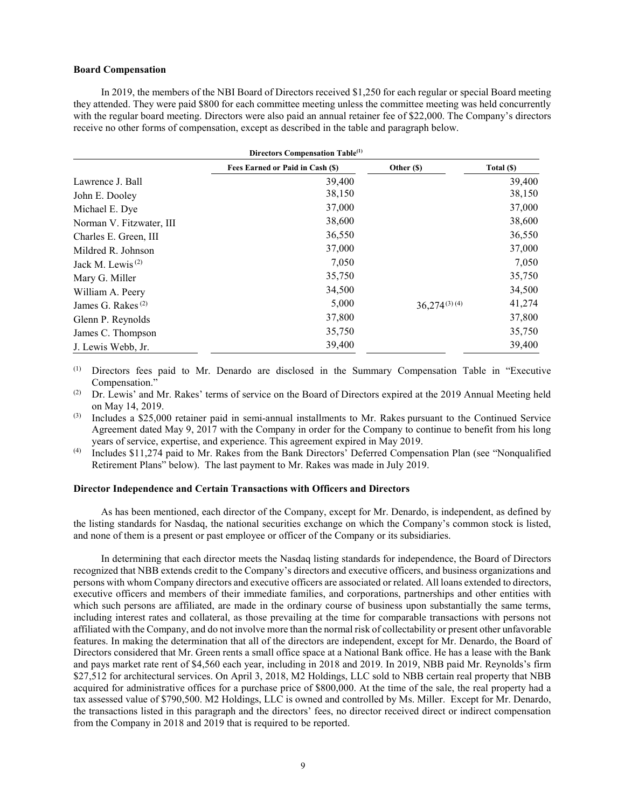#### **Board Compensation**

In 2019, the members of the NBI Board of Directors received \$1,250 for each regular or special Board meeting they attended. They were paid \$800 for each committee meeting unless the committee meeting was held concurrently with the regular board meeting. Directors were also paid an annual retainer fee of \$22,000. The Company's directors receive no other forms of compensation, except as described in the table and paragraph below.

| Directors Compensation Table <sup>(1)</sup> |                                  |                   |            |  |  |  |
|---------------------------------------------|----------------------------------|-------------------|------------|--|--|--|
|                                             | Fees Earned or Paid in Cash (\$) | Other (\$)        | Total (\$) |  |  |  |
| Lawrence J. Ball                            | 39,400                           |                   | 39,400     |  |  |  |
| John E. Dooley                              | 38,150                           |                   | 38,150     |  |  |  |
| Michael E. Dye                              | 37,000                           |                   | 37,000     |  |  |  |
| Norman V. Fitzwater, III                    | 38,600                           |                   | 38,600     |  |  |  |
| Charles E. Green, III                       | 36,550                           |                   | 36,550     |  |  |  |
| Mildred R. Johnson                          | 37,000                           |                   | 37,000     |  |  |  |
| Jack M. Lewis <sup><math>(2)</math></sup>   | 7,050                            |                   | 7,050      |  |  |  |
| Mary G. Miller                              | 35,750                           |                   | 35,750     |  |  |  |
| William A. Peery                            | 34,500                           |                   | 34,500     |  |  |  |
| James G. Rakes <sup>(2)</sup>               | 5,000                            | $36,274^{(3)(4)}$ | 41,274     |  |  |  |
| Glenn P. Reynolds                           | 37,800                           |                   | 37,800     |  |  |  |
| James C. Thompson                           | 35,750                           |                   | 35,750     |  |  |  |
| J. Lewis Webb, Jr.                          | 39,400                           |                   | 39,400     |  |  |  |

(1) Directors fees paid to Mr. Denardo are disclosed in the Summary Compensation Table in "Executive Compensation."

- (2) Dr. Lewis' and Mr. Rakes' terms of service on the Board of Directors expired at the 2019 Annual Meeting held on May 14, 2019.
- (3) Includes a \$25,000 retainer paid in semi-annual installments to Mr. Rakes pursuant to the Continued Service Agreement dated May 9, 2017 with the Company in order for the Company to continue to benefit from his long years of service, expertise, and experience. This agreement expired in May 2019.
- (4) Includes \$11,274 paid to Mr. Rakes from the Bank Directors' Deferred Compensation Plan (see "Nonqualified Retirement Plans" below). The last payment to Mr. Rakes was made in July 2019.

# **Director Independence and Certain Transactions with Officers and Directors**

As has been mentioned, each director of the Company, except for Mr. Denardo, is independent, as defined by the listing standards for Nasdaq, the national securities exchange on which the Company's common stock is listed, and none of them is a present or past employee or officer of the Company or its subsidiaries.

In determining that each director meets the Nasdaq listing standards for independence, the Board of Directors recognized that NBB extends credit to the Company's directors and executive officers, and business organizations and persons with whom Company directors and executive officers are associated or related. All loans extended to directors, executive officers and members of their immediate families, and corporations, partnerships and other entities with which such persons are affiliated, are made in the ordinary course of business upon substantially the same terms, including interest rates and collateral, as those prevailing at the time for comparable transactions with persons not affiliated with the Company, and do not involve more than the normal risk of collectability or present other unfavorable features. In making the determination that all of the directors are independent, except for Mr. Denardo, the Board of Directors considered that Mr. Green rents a small office space at a National Bank office. He has a lease with the Bank and pays market rate rent of \$4,560 each year, including in 2018 and 2019. In 2019, NBB paid Mr. Reynolds's firm \$27,512 for architectural services. On April 3, 2018, M2 Holdings, LLC sold to NBB certain real property that NBB acquired for administrative offices for a purchase price of \$800,000. At the time of the sale, the real property had a tax assessed value of \$790,500. M2 Holdings, LLC is owned and controlled by Ms. Miller. Except for Mr. Denardo, the transactions listed in this paragraph and the directors' fees, no director received direct or indirect compensation from the Company in 2018 and 2019 that is required to be reported.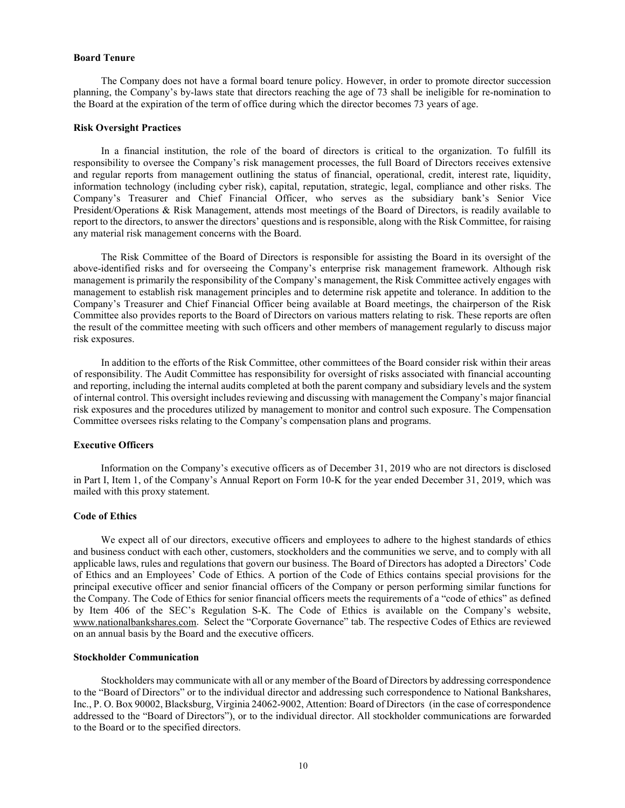# **Board Tenure**

The Company does not have a formal board tenure policy. However, in order to promote director succession planning, the Company's by-laws state that directors reaching the age of 73 shall be ineligible for re-nomination to the Board at the expiration of the term of office during which the director becomes 73 years of age.

#### **Risk Oversight Practices**

In a financial institution, the role of the board of directors is critical to the organization. To fulfill its responsibility to oversee the Company's risk management processes, the full Board of Directors receives extensive and regular reports from management outlining the status of financial, operational, credit, interest rate, liquidity, information technology (including cyber risk), capital, reputation, strategic, legal, compliance and other risks. The Company's Treasurer and Chief Financial Officer, who serves as the subsidiary bank's Senior Vice President/Operations & Risk Management, attends most meetings of the Board of Directors, is readily available to report to the directors, to answer the directors' questions and is responsible, along with the Risk Committee, for raising any material risk management concerns with the Board.

The Risk Committee of the Board of Directors is responsible for assisting the Board in its oversight of the above-identified risks and for overseeing the Company's enterprise risk management framework. Although risk management is primarily the responsibility of the Company's management, the Risk Committee actively engages with management to establish risk management principles and to determine risk appetite and tolerance. In addition to the Company's Treasurer and Chief Financial Officer being available at Board meetings, the chairperson of the Risk Committee also provides reports to the Board of Directors on various matters relating to risk. These reports are often the result of the committee meeting with such officers and other members of management regularly to discuss major risk exposures.

In addition to the efforts of the Risk Committee, other committees of the Board consider risk within their areas of responsibility. The Audit Committee has responsibility for oversight of risks associated with financial accounting and reporting, including the internal audits completed at both the parent company and subsidiary levels and the system of internal control. This oversight includes reviewing and discussing with management the Company's major financial risk exposures and the procedures utilized by management to monitor and control such exposure. The Compensation Committee oversees risks relating to the Company's compensation plans and programs.

# **Executive Officers**

Information on the Company's executive officers as of December 31, 2019 who are not directors is disclosed in Part I, Item 1, of the Company's Annual Report on Form 10-K for the year ended December 31, 2019, which was mailed with this proxy statement.

#### **Code of Ethics**

We expect all of our directors, executive officers and employees to adhere to the highest standards of ethics and business conduct with each other, customers, stockholders and the communities we serve, and to comply with all applicable laws, rules and regulations that govern our business. The Board of Directors has adopted a Directors' Code of Ethics and an Employees' Code of Ethics. A portion of the Code of Ethics contains special provisions for the principal executive officer and senior financial officers of the Company or person performing similar functions for the Company. The Code of Ethics for senior financial officers meets the requirements of a "code of ethics" as defined by Item 406 of the SEC's Regulation S-K. The Code of Ethics is available on the Company's website, [www.nationalbankshares.com.](http://www.nationalbankshares.com/) Select the "Corporate Governance" tab. The respective Codes of Ethics are reviewed on an annual basis by the Board and the executive officers.

# **Stockholder Communication**

Stockholders may communicate with all or any member of the Board of Directors by addressing correspondence to the "Board of Directors" or to the individual director and addressing such correspondence to National Bankshares, Inc., P. O. Box 90002, Blacksburg, Virginia 24062-9002, Attention: Board of Directors (in the case of correspondence addressed to the "Board of Directors"), or to the individual director. All stockholder communications are forwarded to the Board or to the specified directors.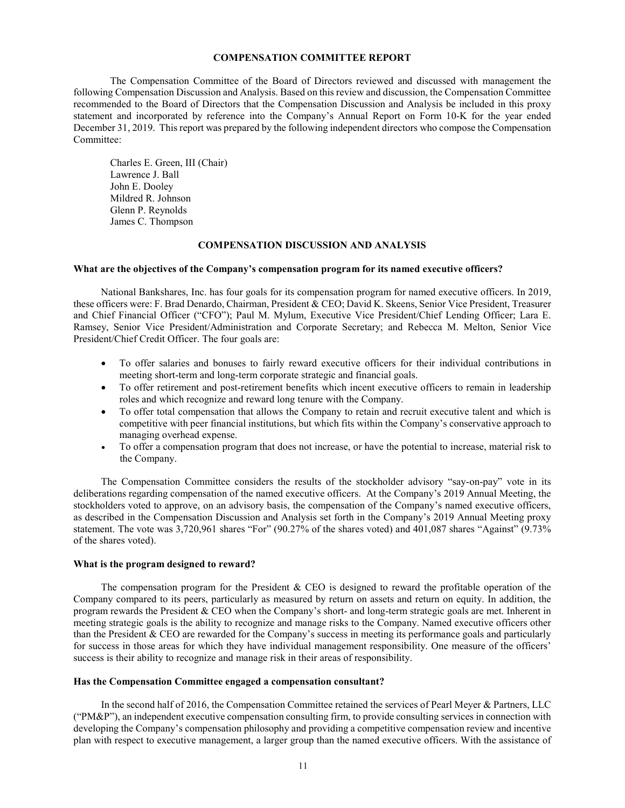## **COMPENSATION COMMITTEE REPORT**

The Compensation Committee of the Board of Directors reviewed and discussed with management the following Compensation Discussion and Analysis. Based on this review and discussion, the Compensation Committee recommended to the Board of Directors that the Compensation Discussion and Analysis be included in this proxy statement and incorporated by reference into the Company's Annual Report on Form 10-K for the year ended December 31, 2019. This report was prepared by the following independent directors who compose the Compensation Committee:

Charles E. Green, III (Chair) Lawrence J. Ball John E. Dooley Mildred R. Johnson Glenn P. Reynolds James C. Thompson

#### **COMPENSATION DISCUSSION AND ANALYSIS**

#### **What are the objectives of the Company's compensation program for its named executive officers?**

National Bankshares, Inc. has four goals for its compensation program for named executive officers. In 2019, these officers were: F. Brad Denardo, Chairman, President & CEO; David K. Skeens, Senior Vice President, Treasurer and Chief Financial Officer ("CFO"); Paul M. Mylum, Executive Vice President/Chief Lending Officer; Lara E. Ramsey, Senior Vice President/Administration and Corporate Secretary; and Rebecca M. Melton, Senior Vice President/Chief Credit Officer. The four goals are:

- To offer salaries and bonuses to fairly reward executive officers for their individual contributions in meeting short-term and long-term corporate strategic and financial goals.
- To offer retirement and post-retirement benefits which incent executive officers to remain in leadership roles and which recognize and reward long tenure with the Company.
- To offer total compensation that allows the Company to retain and recruit executive talent and which is competitive with peer financial institutions, but which fits within the Company's conservative approach to managing overhead expense.
- To offer a compensation program that does not increase, or have the potential to increase, material risk to the Company.

The Compensation Committee considers the results of the stockholder advisory "say-on-pay" vote in its deliberations regarding compensation of the named executive officers. At the Company's 2019 Annual Meeting, the stockholders voted to approve, on an advisory basis, the compensation of the Company's named executive officers, as described in the Compensation Discussion and Analysis set forth in the Company's 2019 Annual Meeting proxy statement. The vote was 3,720,961 shares "For" (90.27% of the shares voted) and 401,087 shares "Against" (9.73% of the shares voted).

#### **What is the program designed to reward?**

The compensation program for the President & CEO is designed to reward the profitable operation of the Company compared to its peers, particularly as measured by return on assets and return on equity. In addition, the program rewards the President & CEO when the Company's short- and long-term strategic goals are met. Inherent in meeting strategic goals is the ability to recognize and manage risks to the Company. Named executive officers other than the President & CEO are rewarded for the Company's success in meeting its performance goals and particularly for success in those areas for which they have individual management responsibility. One measure of the officers' success is their ability to recognize and manage risk in their areas of responsibility.

#### **Has the Compensation Committee engaged a compensation consultant?**

In the second half of 2016, the Compensation Committee retained the services of Pearl Meyer & Partners, LLC ("PM&P"), an independent executive compensation consulting firm, to provide consulting services in connection with developing the Company's compensation philosophy and providing a competitive compensation review and incentive plan with respect to executive management, a larger group than the named executive officers. With the assistance of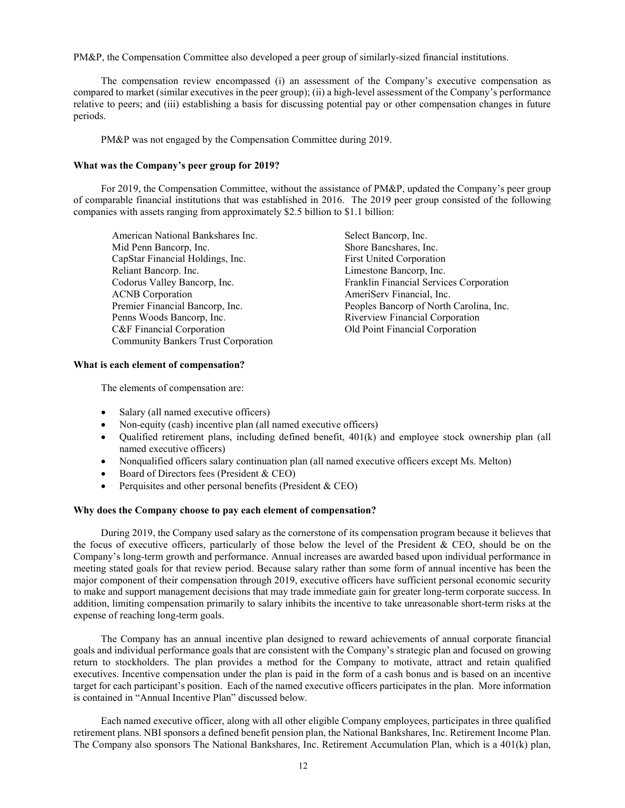PM&P, the Compensation Committee also developed a peer group of similarly-sized financial institutions.

The compensation review encompassed (i) an assessment of the Company's executive compensation as compared to market (similar executives in the peer group); (ii) a high-level assessment of the Company's performance relative to peers; and (iii) establishing a basis for discussing potential pay or other compensation changes in future periods.

PM&P was not engaged by the Compensation Committee during 2019.

## **What was the Company's peer group for 2019?**

For 2019, the Compensation Committee, without the assistance of PM&P, updated the Company's peer group of comparable financial institutions that was established in 2016. The 2019 peer group consisted of the following companies with assets ranging from approximately \$2.5 billion to \$1.1 billion:

American National Bankshares Inc.<br>
Mid Penn Bancorp, Inc.<br>
Shore Bancshares, Inc. Mid Penn Bancorp, Inc. CapStar Financial Holdings, Inc. First United Corporation Reliant Bancorp. Inc.<br>
Codorus Valley Bancorp, Inc.<br>
Franklin Financial Servic ACNB Corporation **AmeriCerv** Financial, Inc. Penns Woods Bancorp, Inc. The Compact of Riverview Financial Corporation C&F Financial Corporation Old Point Financial Corporation Community Bankers Trust Corporation

Franklin Financial Services Corporation Premier Financial Bancorp, Inc. Peoples Bancorp of North Carolina, Inc.

# **What is each element of compensation?**

The elements of compensation are:

- Salary (all named executive officers)
- Non-equity (cash) incentive plan (all named executive officers)
- Qualified retirement plans, including defined benefit, 401(k) and employee stock ownership plan (all named executive officers)
- Nonqualified officers salary continuation plan (all named executive officers except Ms. Melton)
- Board of Directors fees (President & CEO)
- Perquisites and other personal benefits (President & CEO)

# **Why does the Company choose to pay each element of compensation?**

During 2019, the Company used salary as the cornerstone of its compensation program because it believes that the focus of executive officers, particularly of those below the level of the President & CEO, should be on the Company's long-term growth and performance. Annual increases are awarded based upon individual performance in meeting stated goals for that review period. Because salary rather than some form of annual incentive has been the major component of their compensation through 2019, executive officers have sufficient personal economic security to make and support management decisions that may trade immediate gain for greater long-term corporate success. In addition, limiting compensation primarily to salary inhibits the incentive to take unreasonable short-term risks at the expense of reaching long-term goals.

The Company has an annual incentive plan designed to reward achievements of annual corporate financial goals and individual performance goals that are consistent with the Company's strategic plan and focused on growing return to stockholders. The plan provides a method for the Company to motivate, attract and retain qualified executives. Incentive compensation under the plan is paid in the form of a cash bonus and is based on an incentive target for each participant's position. Each of the named executive officers participates in the plan. More information is contained in "Annual Incentive Plan" discussed below.

Each named executive officer, along with all other eligible Company employees, participates in three qualified retirement plans. NBI sponsors a defined benefit pension plan, the National Bankshares, Inc. Retirement Income Plan. The Company also sponsors The National Bankshares, Inc. Retirement Accumulation Plan, which is a 401(k) plan,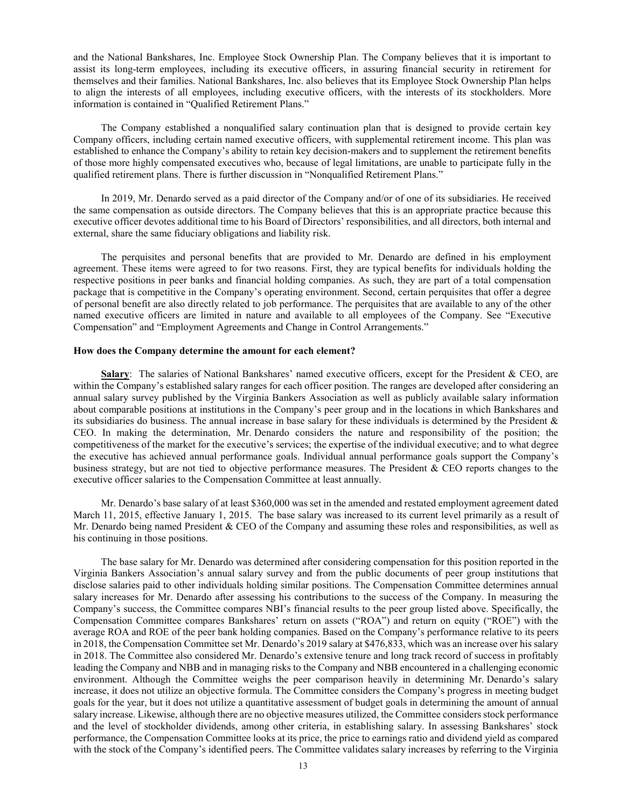and the National Bankshares, Inc. Employee Stock Ownership Plan. The Company believes that it is important to assist its long-term employees, including its executive officers, in assuring financial security in retirement for themselves and their families. National Bankshares, Inc. also believes that its Employee Stock Ownership Plan helps to align the interests of all employees, including executive officers, with the interests of its stockholders. More information is contained in "Qualified Retirement Plans."

The Company established a nonqualified salary continuation plan that is designed to provide certain key Company officers, including certain named executive officers, with supplemental retirement income. This plan was established to enhance the Company's ability to retain key decision-makers and to supplement the retirement benefits of those more highly compensated executives who, because of legal limitations, are unable to participate fully in the qualified retirement plans. There is further discussion in "Nonqualified Retirement Plans."

In 2019, Mr. Denardo served as a paid director of the Company and/or of one of its subsidiaries. He received the same compensation as outside directors. The Company believes that this is an appropriate practice because this executive officer devotes additional time to his Board of Directors' responsibilities, and all directors, both internal and external, share the same fiduciary obligations and liability risk.

The perquisites and personal benefits that are provided to Mr. Denardo are defined in his employment agreement. These items were agreed to for two reasons. First, they are typical benefits for individuals holding the respective positions in peer banks and financial holding companies. As such, they are part of a total compensation package that is competitive in the Company's operating environment. Second, certain perquisites that offer a degree of personal benefit are also directly related to job performance. The perquisites that are available to any of the other named executive officers are limited in nature and available to all employees of the Company. See "Executive Compensation" and "Employment Agreements and Change in Control Arrangements."

#### **How does the Company determine the amount for each element?**

**Salary**: The salaries of National Bankshares' named executive officers, except for the President & CEO, are within the Company's established salary ranges for each officer position. The ranges are developed after considering an annual salary survey published by the Virginia Bankers Association as well as publicly available salary information about comparable positions at institutions in the Company's peer group and in the locations in which Bankshares and its subsidiaries do business. The annual increase in base salary for these individuals is determined by the President & CEO. In making the determination, Mr. Denardo considers the nature and responsibility of the position; the competitiveness of the market for the executive's services; the expertise of the individual executive; and to what degree the executive has achieved annual performance goals. Individual annual performance goals support the Company's business strategy, but are not tied to objective performance measures. The President & CEO reports changes to the executive officer salaries to the Compensation Committee at least annually.

Mr. Denardo's base salary of at least \$360,000 was set in the amended and restated employment agreement dated March 11, 2015, effective January 1, 2015. The base salary was increased to its current level primarily as a result of Mr. Denardo being named President & CEO of the Company and assuming these roles and responsibilities, as well as his continuing in those positions.

The base salary for Mr. Denardo was determined after considering compensation for this position reported in the Virginia Bankers Association's annual salary survey and from the public documents of peer group institutions that disclose salaries paid to other individuals holding similar positions. The Compensation Committee determines annual salary increases for Mr. Denardo after assessing his contributions to the success of the Company. In measuring the Company's success, the Committee compares NBI's financial results to the peer group listed above. Specifically, the Compensation Committee compares Bankshares' return on assets ("ROA") and return on equity ("ROE") with the average ROA and ROE of the peer bank holding companies. Based on the Company's performance relative to its peers in 2018, the Compensation Committee set Mr. Denardo's 2019 salary at \$476,833, which was an increase over his salary in 2018. The Committee also considered Mr. Denardo's extensive tenure and long track record of success in profitably leading the Company and NBB and in managing risks to the Company and NBB encountered in a challenging economic environment. Although the Committee weighs the peer comparison heavily in determining Mr. Denardo's salary increase, it does not utilize an objective formula. The Committee considers the Company's progress in meeting budget goals for the year, but it does not utilize a quantitative assessment of budget goals in determining the amount of annual salary increase. Likewise, although there are no objective measures utilized, the Committee considers stock performance and the level of stockholder dividends, among other criteria, in establishing salary. In assessing Bankshares' stock performance, the Compensation Committee looks at its price, the price to earnings ratio and dividend yield as compared with the stock of the Company's identified peers. The Committee validates salary increases by referring to the Virginia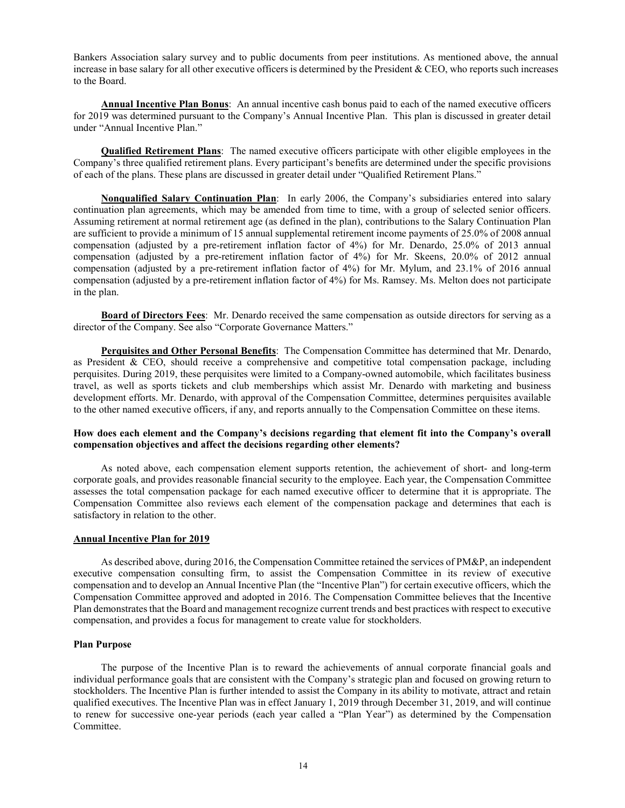Bankers Association salary survey and to public documents from peer institutions. As mentioned above, the annual increase in base salary for all other executive officers is determined by the President  $&$  CEO, who reports such increases to the Board.

**Annual Incentive Plan Bonus**: An annual incentive cash bonus paid to each of the named executive officers for 2019 was determined pursuant to the Company's Annual Incentive Plan. This plan is discussed in greater detail under "Annual Incentive Plan."

**Qualified Retirement Plans**: The named executive officers participate with other eligible employees in the Company's three qualified retirement plans. Every participant's benefits are determined under the specific provisions of each of the plans. These plans are discussed in greater detail under "Qualified Retirement Plans."

**Nonqualified Salary Continuation Plan**: In early 2006, the Company's subsidiaries entered into salary continuation plan agreements, which may be amended from time to time, with a group of selected senior officers. Assuming retirement at normal retirement age (as defined in the plan), contributions to the Salary Continuation Plan are sufficient to provide a minimum of 15 annual supplemental retirement income payments of 25.0% of 2008 annual compensation (adjusted by a pre-retirement inflation factor of 4%) for Mr. Denardo, 25.0% of 2013 annual compensation (adjusted by a pre-retirement inflation factor of 4%) for Mr. Skeens, 20.0% of 2012 annual compensation (adjusted by a pre-retirement inflation factor of 4%) for Mr. Mylum, and 23.1% of 2016 annual compensation (adjusted by a pre-retirement inflation factor of 4%) for Ms. Ramsey. Ms. Melton does not participate in the plan.

**Board of Directors Fees**: Mr. Denardo received the same compensation as outside directors for serving as a director of the Company. See also "Corporate Governance Matters."

**Perquisites and Other Personal Benefits**: The Compensation Committee has determined that Mr. Denardo, as President & CEO, should receive a comprehensive and competitive total compensation package, including perquisites. During 2019, these perquisites were limited to a Company-owned automobile, which facilitates business travel, as well as sports tickets and club memberships which assist Mr. Denardo with marketing and business development efforts. Mr. Denardo, with approval of the Compensation Committee, determines perquisites available to the other named executive officers, if any, and reports annually to the Compensation Committee on these items.

# **How does each element and the Company's decisions regarding that element fit into the Company's overall compensation objectives and affect the decisions regarding other elements?**

As noted above, each compensation element supports retention, the achievement of short- and long-term corporate goals, and provides reasonable financial security to the employee. Each year, the Compensation Committee assesses the total compensation package for each named executive officer to determine that it is appropriate. The Compensation Committee also reviews each element of the compensation package and determines that each is satisfactory in relation to the other.

# **Annual Incentive Plan for 2019**

As described above, during 2016, the Compensation Committee retained the services of PM&P, an independent executive compensation consulting firm, to assist the Compensation Committee in its review of executive compensation and to develop an Annual Incentive Plan (the "Incentive Plan") for certain executive officers, which the Compensation Committee approved and adopted in 2016. The Compensation Committee believes that the Incentive Plan demonstrates that the Board and management recognize current trends and best practices with respect to executive compensation, and provides a focus for management to create value for stockholders.

#### **Plan Purpose**

The purpose of the Incentive Plan is to reward the achievements of annual corporate financial goals and individual performance goals that are consistent with the Company's strategic plan and focused on growing return to stockholders. The Incentive Plan is further intended to assist the Company in its ability to motivate, attract and retain qualified executives. The Incentive Plan was in effect January 1, 2019 through December 31, 2019, and will continue to renew for successive one-year periods (each year called a "Plan Year") as determined by the Compensation Committee.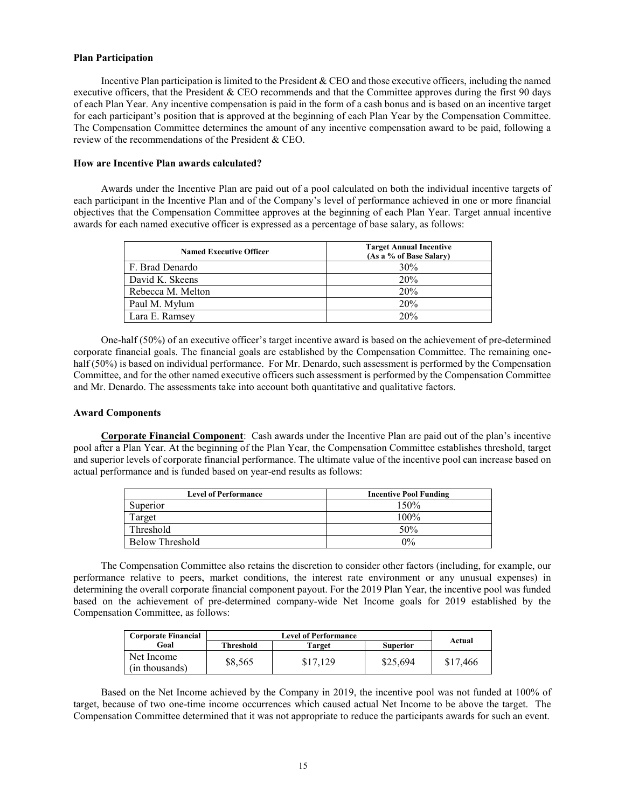# **Plan Participation**

Incentive Plan participation is limited to the President & CEO and those executive officers, including the named executive officers, that the President & CEO recommends and that the Committee approves during the first 90 days of each Plan Year. Any incentive compensation is paid in the form of a cash bonus and is based on an incentive target for each participant's position that is approved at the beginning of each Plan Year by the Compensation Committee. The Compensation Committee determines the amount of any incentive compensation award to be paid, following a review of the recommendations of the President & CEO.

# **How are Incentive Plan awards calculated?**

Awards under the Incentive Plan are paid out of a pool calculated on both the individual incentive targets of each participant in the Incentive Plan and of the Company's level of performance achieved in one or more financial objectives that the Compensation Committee approves at the beginning of each Plan Year. Target annual incentive awards for each named executive officer is expressed as a percentage of base salary, as follows:

| <b>Named Executive Officer</b> | <b>Target Annual Incentive</b><br>(As a % of Base Salary) |
|--------------------------------|-----------------------------------------------------------|
| F. Brad Denardo                | 30%                                                       |
| David K. Skeens                | 20%                                                       |
| Rebecca M. Melton              | 20%                                                       |
| Paul M. Mylum                  | 20%                                                       |
| Lara E. Ramsey                 | 20%                                                       |

One-half (50%) of an executive officer's target incentive award is based on the achievement of pre-determined corporate financial goals. The financial goals are established by the Compensation Committee. The remaining onehalf (50%) is based on individual performance. For Mr. Denardo, such assessment is performed by the Compensation Committee, and for the other named executive officers such assessment is performed by the Compensation Committee and Mr. Denardo. The assessments take into account both quantitative and qualitative factors.

#### **Award Components**

**Corporate Financial Component**:Cash awards under the Incentive Plan are paid out of the plan's incentive pool after a Plan Year. At the beginning of the Plan Year, the Compensation Committee establishes threshold, target and superior levels of corporate financial performance. The ultimate value of the incentive pool can increase based on actual performance and is funded based on year-end results as follows:

| <b>Level of Performance</b> | <b>Incentive Pool Funding</b> |
|-----------------------------|-------------------------------|
| Superior                    | 150%                          |
| Target                      | 100%                          |
| Threshold                   | 50%                           |
| Below Threshold             | $0\%$                         |

The Compensation Committee also retains the discretion to consider other factors (including, for example, our performance relative to peers, market conditions, the interest rate environment or any unusual expenses) in determining the overall corporate financial component payout. For the 2019 Plan Year, the incentive pool was funded based on the achievement of pre-determined company-wide Net Income goals for 2019 established by the Compensation Committee, as follows:

| <b>Corporate Financial</b>   |           |          |          |          |
|------------------------------|-----------|----------|----------|----------|
| Goal                         | Threshold | Target   | Superior | Actual   |
| Net Income<br>(in thousands) | \$8.565   | \$17.129 | \$25,694 | \$17,466 |

Based on the Net Income achieved by the Company in 2019, the incentive pool was not funded at 100% of target, because of two one-time income occurrences which caused actual Net Income to be above the target. The Compensation Committee determined that it was not appropriate to reduce the participants awards for such an event.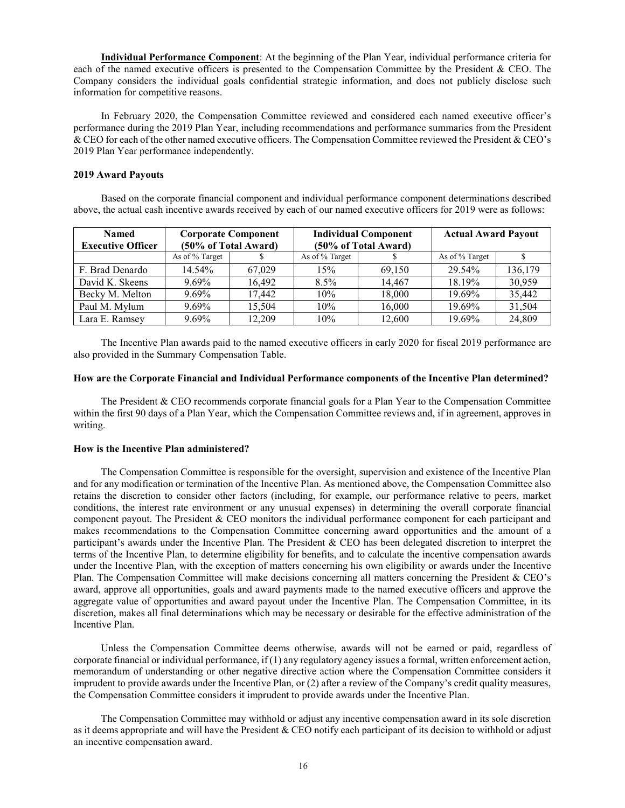**Individual Performance Component**: At the beginning of the Plan Year, individual performance criteria for each of the named executive officers is presented to the Compensation Committee by the President & CEO. The Company considers the individual goals confidential strategic information, and does not publicly disclose such information for competitive reasons.

In February 2020, the Compensation Committee reviewed and considered each named executive officer's performance during the 2019 Plan Year, including recommendations and performance summaries from the President & CEO for each of the other named executive officers. The Compensation Committee reviewed the President & CEO's 2019 Plan Year performance independently.

### **2019 Award Payouts**

Based on the corporate financial component and individual performance component determinations described above, the actual cash incentive awards received by each of our named executive officers for 2019 were as follows:

| <b>Named</b><br><b>Executive Officer</b> |                | <b>Corporate Component</b><br>(50% of Total Award) |                | <b>Individual Component</b><br>(50% of Total Award) | <b>Actual Award Payout</b> |         |
|------------------------------------------|----------------|----------------------------------------------------|----------------|-----------------------------------------------------|----------------------------|---------|
|                                          | As of % Target |                                                    | As of % Target |                                                     | As of % Target             |         |
| F. Brad Denardo                          | 14.54%         | 67,029                                             | 15%            | 69.150                                              | 29.54%                     | 136,179 |
| David K. Skeens                          | 9.69%          | 16.492                                             | $8.5\%$        | 14.467                                              | 18.19%                     | 30,959  |
| Becky M. Melton                          | $9.69\%$       | 17.442                                             | 10%            | 18,000                                              | 19.69%                     | 35,442  |
| Paul M. Mylum                            | $9.69\%$       | 15,504                                             | $10\%$         | 16,000                                              | 19.69%                     | 31,504  |
| Lara E. Ramsey                           | 9.69%          | 12,209                                             | 10%            | 12,600                                              | 19.69%                     | 24,809  |

The Incentive Plan awards paid to the named executive officers in early 2020 for fiscal 2019 performance are also provided in the Summary Compensation Table.

#### **How are the Corporate Financial and Individual Performance components of the Incentive Plan determined?**

The President & CEO recommends corporate financial goals for a Plan Year to the Compensation Committee within the first 90 days of a Plan Year, which the Compensation Committee reviews and, if in agreement, approves in writing.

# **How is the Incentive Plan administered?**

The Compensation Committee is responsible for the oversight, supervision and existence of the Incentive Plan and for any modification or termination of the Incentive Plan. As mentioned above, the Compensation Committee also retains the discretion to consider other factors (including, for example, our performance relative to peers, market conditions, the interest rate environment or any unusual expenses) in determining the overall corporate financial component payout. The President & CEO monitors the individual performance component for each participant and makes recommendations to the Compensation Committee concerning award opportunities and the amount of a participant's awards under the Incentive Plan. The President & CEO has been delegated discretion to interpret the terms of the Incentive Plan, to determine eligibility for benefits, and to calculate the incentive compensation awards under the Incentive Plan, with the exception of matters concerning his own eligibility or awards under the Incentive Plan. The Compensation Committee will make decisions concerning all matters concerning the President & CEO's award, approve all opportunities, goals and award payments made to the named executive officers and approve the aggregate value of opportunities and award payout under the Incentive Plan. The Compensation Committee, in its discretion, makes all final determinations which may be necessary or desirable for the effective administration of the Incentive Plan.

Unless the Compensation Committee deems otherwise, awards will not be earned or paid, regardless of corporate financial or individual performance, if (1) any regulatory agency issues a formal, written enforcement action, memorandum of understanding or other negative directive action where the Compensation Committee considers it imprudent to provide awards under the Incentive Plan, or (2) after a review of the Company's credit quality measures, the Compensation Committee considers it imprudent to provide awards under the Incentive Plan.

The Compensation Committee may withhold or adjust any incentive compensation award in its sole discretion as it deems appropriate and will have the President & CEO notify each participant of its decision to withhold or adjust an incentive compensation award.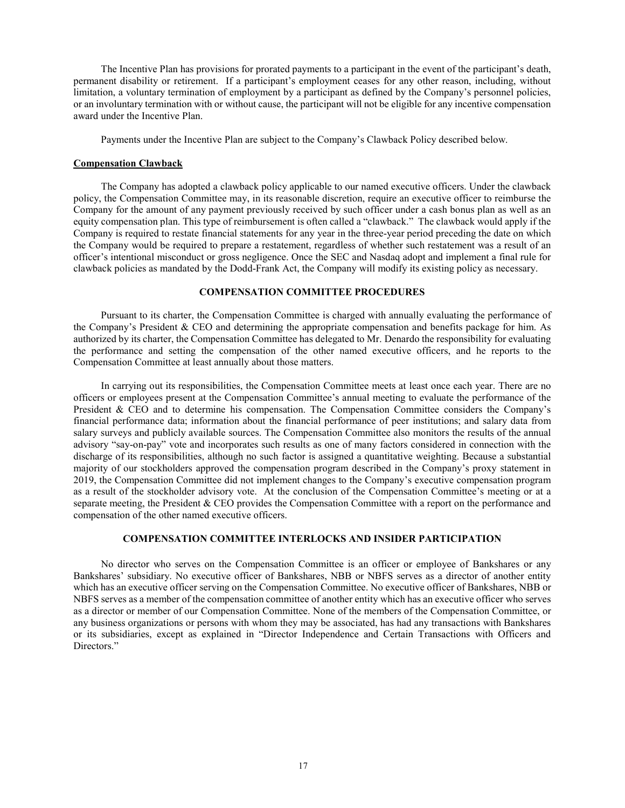The Incentive Plan has provisions for prorated payments to a participant in the event of the participant's death, permanent disability or retirement. If a participant's employment ceases for any other reason, including, without limitation, a voluntary termination of employment by a participant as defined by the Company's personnel policies, or an involuntary termination with or without cause, the participant will not be eligible for any incentive compensation award under the Incentive Plan.

Payments under the Incentive Plan are subject to the Company's Clawback Policy described below.

# **Compensation Clawback**

The Company has adopted a clawback policy applicable to our named executive officers. Under the clawback policy, the Compensation Committee may, in its reasonable discretion, require an executive officer to reimburse the Company for the amount of any payment previously received by such officer under a cash bonus plan as well as an equity compensation plan. This type of reimbursement is often called a "clawback." The clawback would apply if the Company is required to restate financial statements for any year in the three-year period preceding the date on which the Company would be required to prepare a restatement, regardless of whether such restatement was a result of an officer's intentional misconduct or gross negligence. Once the SEC and Nasdaq adopt and implement a final rule for clawback policies as mandated by the Dodd-Frank Act, the Company will modify its existing policy as necessary.

# **COMPENSATION COMMITTEE PROCEDURES**

Pursuant to its charter, the Compensation Committee is charged with annually evaluating the performance of the Company's President & CEO and determining the appropriate compensation and benefits package for him. As authorized by its charter, the Compensation Committee has delegated to Mr. Denardo the responsibility for evaluating the performance and setting the compensation of the other named executive officers, and he reports to the Compensation Committee at least annually about those matters.

In carrying out its responsibilities, the Compensation Committee meets at least once each year. There are no officers or employees present at the Compensation Committee's annual meeting to evaluate the performance of the President & CEO and to determine his compensation. The Compensation Committee considers the Company's financial performance data; information about the financial performance of peer institutions; and salary data from salary surveys and publicly available sources. The Compensation Committee also monitors the results of the annual advisory "say-on-pay" vote and incorporates such results as one of many factors considered in connection with the discharge of its responsibilities, although no such factor is assigned a quantitative weighting. Because a substantial majority of our stockholders approved the compensation program described in the Company's proxy statement in 2019, the Compensation Committee did not implement changes to the Company's executive compensation program as a result of the stockholder advisory vote. At the conclusion of the Compensation Committee's meeting or at a separate meeting, the President & CEO provides the Compensation Committee with a report on the performance and compensation of the other named executive officers.

# **COMPENSATION COMMITTEE INTERLOCKS AND INSIDER PARTICIPATION**

No director who serves on the Compensation Committee is an officer or employee of Bankshares or any Bankshares' subsidiary. No executive officer of Bankshares, NBB or NBFS serves as a director of another entity which has an executive officer serving on the Compensation Committee. No executive officer of Bankshares, NBB or NBFS serves as a member of the compensation committee of another entity which has an executive officer who serves as a director or member of our Compensation Committee. None of the members of the Compensation Committee, or any business organizations or persons with whom they may be associated, has had any transactions with Bankshares or its subsidiaries, except as explained in "Director Independence and Certain Transactions with Officers and Directors."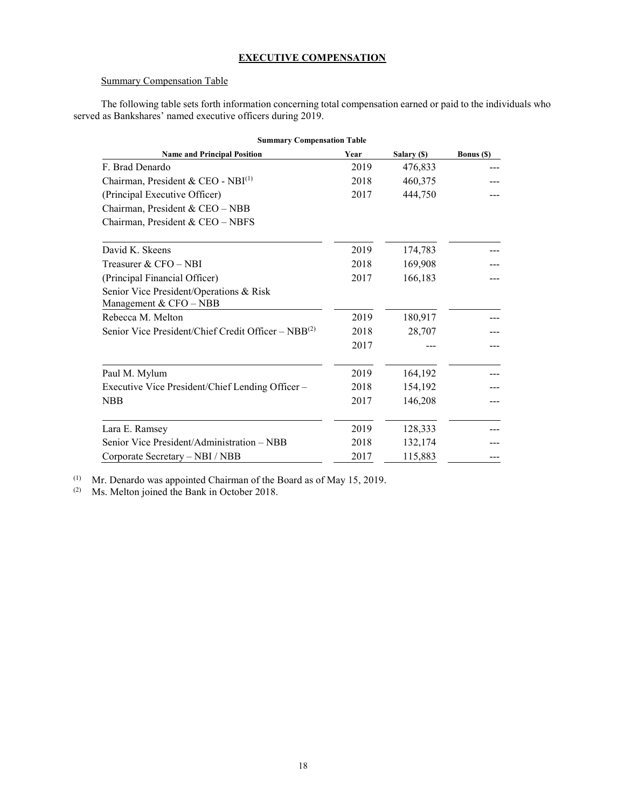# **EXECUTIVE COMPENSATION**

# Summary Compensation Table

The following table sets forth information concerning total compensation earned or paid to the individuals who served as Bankshares' named executive officers during 2019.

| <b>Summary Compensation Table</b>                                 |      |             |            |  |  |  |
|-------------------------------------------------------------------|------|-------------|------------|--|--|--|
| <b>Name and Principal Position</b>                                | Year | Salary (\$) | Bonus (\$) |  |  |  |
| F. Brad Denardo                                                   | 2019 | 476,833     |            |  |  |  |
| Chairman, President & CEO - NBI(1)                                | 2018 | 460,375     |            |  |  |  |
| (Principal Executive Officer)                                     | 2017 | 444,750     |            |  |  |  |
| Chairman, President & CEO - NBB                                   |      |             |            |  |  |  |
| Chairman, President & CEO - NBFS                                  |      |             |            |  |  |  |
| David K. Skeens                                                   | 2019 | 174,783     |            |  |  |  |
| Treasurer & CFO – NBI                                             | 2018 | 169,908     |            |  |  |  |
| (Principal Financial Officer)                                     | 2017 | 166,183     |            |  |  |  |
| Senior Vice President/Operations & Risk<br>Management & CFO - NBB |      |             |            |  |  |  |
| Rebecca M. Melton                                                 | 2019 | 180,917     |            |  |  |  |
| Senior Vice President/Chief Credit Officer – $NBB^{(2)}$          | 2018 | 28,707      |            |  |  |  |
|                                                                   | 2017 |             |            |  |  |  |
| Paul M. Mylum                                                     | 2019 | 164,192     |            |  |  |  |
| Executive Vice President/Chief Lending Officer -                  | 2018 | 154,192     |            |  |  |  |
| <b>NBB</b>                                                        | 2017 | 146,208     |            |  |  |  |
| Lara E. Ramsey                                                    | 2019 | 128,333     |            |  |  |  |
| Senior Vice President/Administration – NBB                        | 2018 | 132,174     |            |  |  |  |
| Corporate Secretary - NBI / NBB                                   | 2017 | 115,883     |            |  |  |  |

(1) Mr. Denardo was appointed Chairman of the Board as of May 15, 2019.

(2) Ms. Melton joined the Bank in October 2018.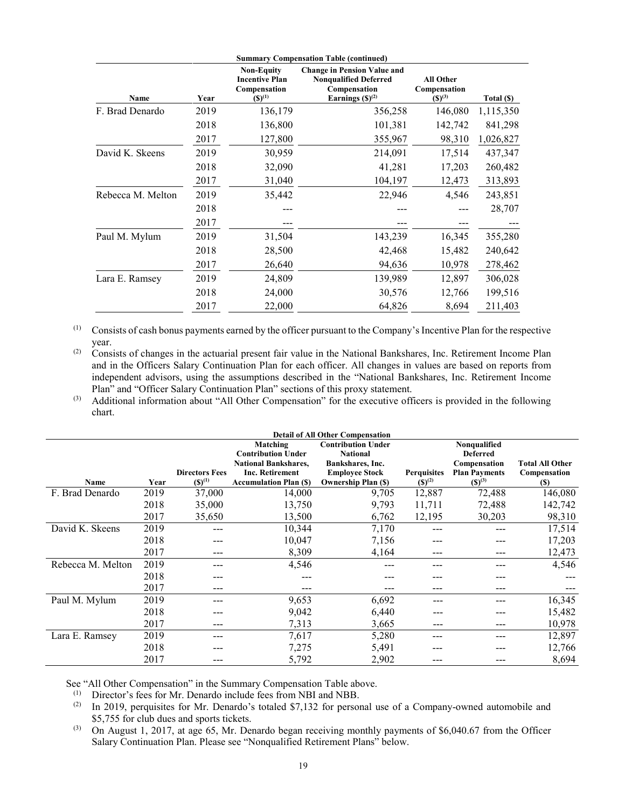| Name              | Year | <b>Non-Equity</b><br><b>Incentive Plan</b><br>Compensation<br>$({\bf S})^{(1)}$ | <b>Summary Compensation Table (continued)</b><br><b>Change in Pension Value and</b><br><b>Nonqualified Deferred</b><br>Compensation<br>Earnings $(S)^{(2)}$ | <b>All Other</b><br>Compensation<br>$(S)^{(3)}$ | Total (\$) |
|-------------------|------|---------------------------------------------------------------------------------|-------------------------------------------------------------------------------------------------------------------------------------------------------------|-------------------------------------------------|------------|
| F. Brad Denardo   | 2019 | 136,179                                                                         | 356,258                                                                                                                                                     | 146,080                                         | 1,115,350  |
|                   | 2018 | 136,800                                                                         | 101,381                                                                                                                                                     | 142,742                                         | 841,298    |
|                   | 2017 | 127,800                                                                         | 355,967                                                                                                                                                     | 98,310                                          | 1,026,827  |
| David K. Skeens   | 2019 | 30,959                                                                          | 214,091                                                                                                                                                     | 17,514                                          | 437,347    |
|                   | 2018 | 32,090                                                                          | 41,281                                                                                                                                                      | 17,203                                          | 260,482    |
|                   | 2017 | 31,040                                                                          | 104,197                                                                                                                                                     | 12,473                                          | 313,893    |
| Rebecca M. Melton | 2019 | 35,442                                                                          | 22,946                                                                                                                                                      | 4,546                                           | 243,851    |
|                   | 2018 |                                                                                 |                                                                                                                                                             |                                                 | 28,707     |
|                   | 2017 |                                                                                 |                                                                                                                                                             |                                                 |            |
| Paul M. Mylum     | 2019 | 31,504                                                                          | 143,239                                                                                                                                                     | 16,345                                          | 355,280    |
|                   | 2018 | 28,500                                                                          | 42,468                                                                                                                                                      | 15,482                                          | 240,642    |
|                   | 2017 | 26,640                                                                          | 94,636                                                                                                                                                      | 10,978                                          | 278,462    |
| Lara E. Ramsey    | 2019 | 24,809                                                                          | 139,989                                                                                                                                                     | 12,897                                          | 306,028    |
|                   | 2018 | 24,000                                                                          | 30,576                                                                                                                                                      | 12,766                                          | 199,516    |
|                   | 2017 | 22,000                                                                          | 64,826                                                                                                                                                      | 8,694                                           | 211,403    |

(1) Consists of cash bonus payments earned by the officer pursuant to the Company's Incentive Plan for the respective year.

(2) Consists of changes in the actuarial present fair value in the National Bankshares, Inc. Retirement Income Plan and in the Officers Salary Continuation Plan for each officer. All changes in values are based on reports from independent advisors, using the assumptions described in the "National Bankshares, Inc. Retirement Income Plan" and "Officer Salary Continuation Plan" sections of this proxy statement.

(3) Additional information about "All Other Compensation" for the executive officers is provided in the following chart.

|                   |      |                       |                               | <b>Detail of All Other Compensation</b> |                    |                      |                        |
|-------------------|------|-----------------------|-------------------------------|-----------------------------------------|--------------------|----------------------|------------------------|
|                   |      |                       | Matching                      | <b>Contribution Under</b>               |                    | Nonqualified         |                        |
|                   |      |                       | <b>Contribution Under</b>     | <b>National</b>                         |                    | <b>Deferred</b>      |                        |
|                   |      |                       | <b>National Bankshares,</b>   | Bankshares, Inc.                        |                    | Compensation         | <b>Total All Other</b> |
|                   |      | <b>Directors Fees</b> | <b>Inc. Retirement</b>        | <b>Employee Stock</b>                   | <b>Perquisites</b> | <b>Plan Payments</b> | Compensation           |
| Name              | Year | $(S)^{(1)}$           | <b>Accumulation Plan (\$)</b> | <b>Ownership Plan (\$)</b>              | $(S)^{(2)}$        | $(S)^{(3)}$          | <b>(S)</b>             |
| F. Brad Denardo   | 2019 | 37,000                | 14,000                        | 9,705                                   | 12,887             | 72,488               | 146,080                |
|                   | 2018 | 35,000                | 13,750                        | 9,793                                   | 11,711             | 72,488               | 142,742                |
|                   | 2017 | 35,650                | 13,500                        | 6,762                                   | 12,195             | 30,203               | 98,310                 |
| David K. Skeens   | 2019 | ---                   | 10,344                        | 7,170                                   |                    |                      | 17,514                 |
|                   | 2018 | ---                   | 10,047                        | 7,156                                   |                    |                      | 17,203                 |
|                   | 2017 | ---                   | 8,309                         | 4,164                                   |                    |                      | 12,473                 |
| Rebecca M. Melton | 2019 | ---                   | 4,546                         | ---                                     |                    |                      | 4,546                  |
|                   | 2018 | ---                   |                               | ---                                     |                    |                      |                        |
|                   | 2017 | ---                   | ---                           | ---                                     | ---                | ---                  |                        |
| Paul M. Mylum     | 2019 | ---                   | 9,653                         | 6,692                                   |                    |                      | 16,345                 |
|                   | 2018 | ---                   | 9,042                         | 6,440                                   |                    |                      | 15,482                 |
|                   | 2017 | ---                   | 7,313                         | 3,665                                   |                    |                      | 10,978                 |
| Lara E. Ramsey    | 2019 | ---                   | 7,617                         | 5,280                                   |                    |                      | 12,897                 |
|                   | 2018 |                       | 7,275                         | 5,491                                   |                    |                      | 12,766                 |
|                   | 2017 | ---                   | 5,792                         | 2,902                                   |                    |                      | 8,694                  |

See "All Other Compensation" in the Summary Compensation Table above.

(1) Director's fees for Mr. Denardo include fees from NBI and NBB.

(2) In 2019, perquisites for Mr. Denardo's totaled \$7,132 for personal use of a Company-owned automobile and \$5,755 for club dues and sports tickets.

(3) On August 1, 2017, at age 65, Mr. Denardo began receiving monthly payments of \$6,040.67 from the Officer Salary Continuation Plan. Please see "Nonqualified Retirement Plans" below.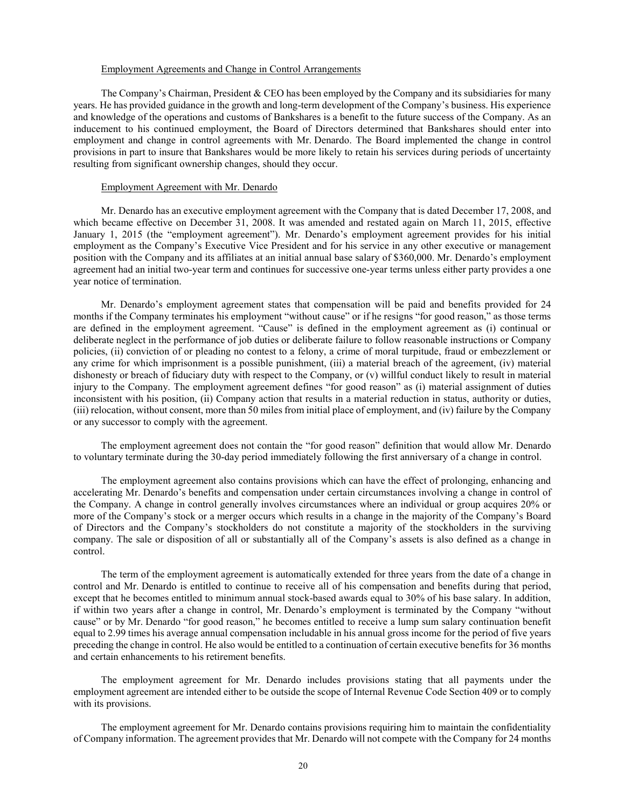#### Employment Agreements and Change in Control Arrangements

The Company's Chairman, President & CEO has been employed by the Company and its subsidiaries for many years. He has provided guidance in the growth and long-term development of the Company's business. His experience and knowledge of the operations and customs of Bankshares is a benefit to the future success of the Company. As an inducement to his continued employment, the Board of Directors determined that Bankshares should enter into employment and change in control agreements with Mr. Denardo. The Board implemented the change in control provisions in part to insure that Bankshares would be more likely to retain his services during periods of uncertainty resulting from significant ownership changes, should they occur.

#### Employment Agreement with Mr. Denardo

Mr. Denardo has an executive employment agreement with the Company that is dated December 17, 2008, and which became effective on December 31, 2008. It was amended and restated again on March 11, 2015, effective January 1, 2015 (the "employment agreement"). Mr. Denardo's employment agreement provides for his initial employment as the Company's Executive Vice President and for his service in any other executive or management position with the Company and its affiliates at an initial annual base salary of \$360,000. Mr. Denardo's employment agreement had an initial two-year term and continues for successive one-year terms unless either party provides a one year notice of termination.

Mr. Denardo's employment agreement states that compensation will be paid and benefits provided for 24 months if the Company terminates his employment "without cause" or if he resigns "for good reason," as those terms are defined in the employment agreement. "Cause" is defined in the employment agreement as (i) continual or deliberate neglect in the performance of job duties or deliberate failure to follow reasonable instructions or Company policies, (ii) conviction of or pleading no contest to a felony, a crime of moral turpitude, fraud or embezzlement or any crime for which imprisonment is a possible punishment, (iii) a material breach of the agreement, (iv) material dishonesty or breach of fiduciary duty with respect to the Company, or (v) willful conduct likely to result in material injury to the Company. The employment agreement defines "for good reason" as (i) material assignment of duties inconsistent with his position, (ii) Company action that results in a material reduction in status, authority or duties, (iii) relocation, without consent, more than 50 miles from initial place of employment, and (iv) failure by the Company or any successor to comply with the agreement.

The employment agreement does not contain the "for good reason" definition that would allow Mr. Denardo to voluntary terminate during the 30-day period immediately following the first anniversary of a change in control.

The employment agreement also contains provisions which can have the effect of prolonging, enhancing and accelerating Mr. Denardo's benefits and compensation under certain circumstances involving a change in control of the Company. A change in control generally involves circumstances where an individual or group acquires 20% or more of the Company's stock or a merger occurs which results in a change in the majority of the Company's Board of Directors and the Company's stockholders do not constitute a majority of the stockholders in the surviving company. The sale or disposition of all or substantially all of the Company's assets is also defined as a change in control.

The term of the employment agreement is automatically extended for three years from the date of a change in control and Mr. Denardo is entitled to continue to receive all of his compensation and benefits during that period, except that he becomes entitled to minimum annual stock-based awards equal to 30% of his base salary. In addition, if within two years after a change in control, Mr. Denardo's employment is terminated by the Company "without cause" or by Mr. Denardo "for good reason," he becomes entitled to receive a lump sum salary continuation benefit equal to 2.99 times his average annual compensation includable in his annual gross income for the period of five years preceding the change in control. He also would be entitled to a continuation of certain executive benefits for 36 months and certain enhancements to his retirement benefits.

The employment agreement for Mr. Denardo includes provisions stating that all payments under the employment agreement are intended either to be outside the scope of Internal Revenue Code Section 409 or to comply with its provisions.

The employment agreement for Mr. Denardo contains provisions requiring him to maintain the confidentiality of Company information. The agreement provides that Mr. Denardo will not compete with the Company for 24 months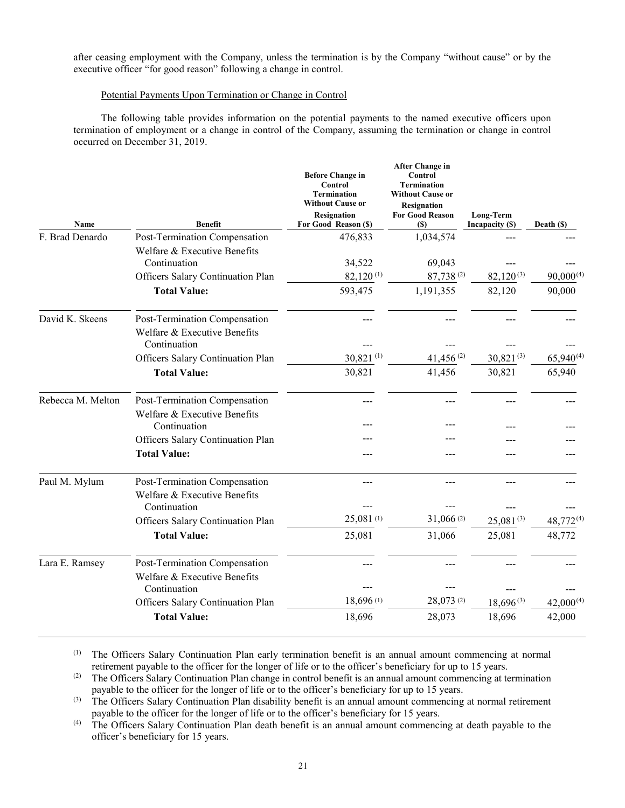after ceasing employment with the Company, unless the termination is by the Company "without cause" or by the executive officer "for good reason" following a change in control.

# Potential Payments Upon Termination or Change in Control

The following table provides information on the potential payments to the named executive officers upon termination of employment or a change in control of the Company, assuming the termination or change in control occurred on December 31, 2019.

| Name              | <b>Benefit</b>                                                                | <b>Before Change in</b><br>Control<br><b>Termination</b><br><b>Without Cause or</b><br><b>Resignation</b><br>For Good Reason (\$) | <b>After Change in</b><br>Control<br><b>Termination</b><br><b>Without Cause or</b><br><b>Resignation</b><br><b>For Good Reason</b><br><b>(\$)</b> | Long-Term<br>Incapacity (\$) | Death (\$)     |
|-------------------|-------------------------------------------------------------------------------|-----------------------------------------------------------------------------------------------------------------------------------|---------------------------------------------------------------------------------------------------------------------------------------------------|------------------------------|----------------|
| F. Brad Denardo   | Post-Termination Compensation                                                 | 476,833                                                                                                                           | 1,034,574                                                                                                                                         |                              |                |
|                   | Welfare & Executive Benefits<br>Continuation                                  | 34,522                                                                                                                            | 69,043                                                                                                                                            |                              |                |
|                   | Officers Salary Continuation Plan                                             | $82,120^{(1)}$                                                                                                                    | 87,738 $(2)$                                                                                                                                      | $82,120^{(3)}$               | $90,000^{(4)}$ |
|                   | <b>Total Value:</b>                                                           | 593,475                                                                                                                           | 1,191,355                                                                                                                                         | 82,120                       | 90,000         |
| David K. Skeens   | Post-Termination Compensation<br>Welfare & Executive Benefits<br>Continuation |                                                                                                                                   |                                                                                                                                                   |                              |                |
|                   | Officers Salary Continuation Plan                                             | 30,821(1)                                                                                                                         | 41,456 $(2)$                                                                                                                                      | $30,821^{(3)}$               | $65,940^{(4)}$ |
|                   | <b>Total Value:</b>                                                           | 30,821                                                                                                                            | 41,456                                                                                                                                            | 30,821                       | 65,940         |
| Rebecca M. Melton | Post-Termination Compensation                                                 |                                                                                                                                   |                                                                                                                                                   |                              |                |
|                   | Welfare & Executive Benefits<br>Continuation                                  |                                                                                                                                   |                                                                                                                                                   |                              |                |
|                   | Officers Salary Continuation Plan                                             |                                                                                                                                   |                                                                                                                                                   |                              |                |
|                   | <b>Total Value:</b>                                                           |                                                                                                                                   |                                                                                                                                                   |                              |                |
| Paul M. Mylum     | Post-Termination Compensation<br>Welfare & Executive Benefits<br>Continuation |                                                                                                                                   |                                                                                                                                                   |                              |                |
|                   | Officers Salary Continuation Plan                                             | 25,081(1)                                                                                                                         | 31,066(2)                                                                                                                                         | $25,081^{(3)}$               | $48,772^{(4)}$ |
|                   | <b>Total Value:</b>                                                           | 25,081                                                                                                                            | 31,066                                                                                                                                            | 25,081                       | 48,772         |
| Lara E. Ramsey    | Post-Termination Compensation<br>Welfare & Executive Benefits<br>Continuation | ---                                                                                                                               |                                                                                                                                                   |                              |                |
|                   | Officers Salary Continuation Plan                                             | 18,696 (1)                                                                                                                        | 28,073 (2)                                                                                                                                        | $18,696^{(3)}$               | $42,000^{(4)}$ |
|                   | <b>Total Value:</b>                                                           | 18,696                                                                                                                            | 28,073                                                                                                                                            | 18,696                       | 42,000         |
|                   |                                                                               |                                                                                                                                   |                                                                                                                                                   |                              |                |

(1) The Officers Salary Continuation Plan early termination benefit is an annual amount commencing at normal retirement payable to the officer for the longer of life or to the officer's beneficiary for up to 15 years.

(2) The Officers Salary Continuation Plan change in control benefit is an annual amount commencing at termination payable to the officer for the longer of life or to the officer's beneficiary for up to 15 years.

<sup>(3)</sup> The Officers Salary Continuation Plan disability benefit is an annual amount commencing at normal retirement payable to the officer for the longer of life or to the officer's beneficiary for 15 years.

(4) The Officers Salary Continuation Plan death benefit is an annual amount commencing at death payable to the officer's beneficiary for 15 years.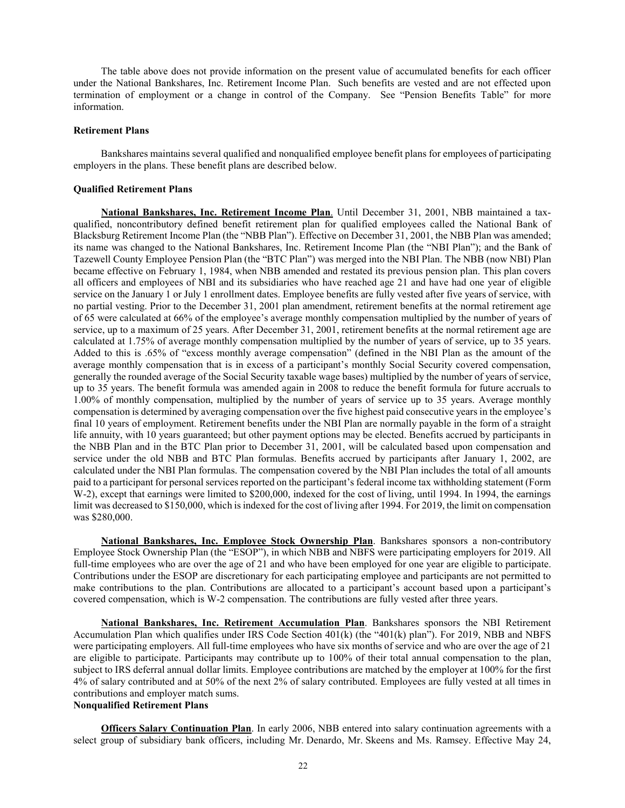The table above does not provide information on the present value of accumulated benefits for each officer under the National Bankshares, Inc. Retirement Income Plan. Such benefits are vested and are not effected upon termination of employment or a change in control of the Company. See "Pension Benefits Table" for more information.

# **Retirement Plans**

Bankshares maintains several qualified and nonqualified employee benefit plans for employees of participating employers in the plans. These benefit plans are described below.

#### **Qualified Retirement Plans**

**National Bankshares, Inc. Retirement Income Plan**. Until December 31, 2001, NBB maintained a taxqualified, noncontributory defined benefit retirement plan for qualified employees called the National Bank of Blacksburg Retirement Income Plan (the "NBB Plan"). Effective on December 31, 2001, the NBB Plan was amended; its name was changed to the National Bankshares, Inc. Retirement Income Plan (the "NBI Plan"); and the Bank of Tazewell County Employee Pension Plan (the "BTC Plan") was merged into the NBI Plan. The NBB (now NBI) Plan became effective on February 1, 1984, when NBB amended and restated its previous pension plan. This plan covers all officers and employees of NBI and its subsidiaries who have reached age 21 and have had one year of eligible service on the January 1 or July 1 enrollment dates. Employee benefits are fully vested after five years of service, with no partial vesting. Prior to the December 31, 2001 plan amendment, retirement benefits at the normal retirement age of 65 were calculated at 66% of the employee's average monthly compensation multiplied by the number of years of service, up to a maximum of 25 years. After December 31, 2001, retirement benefits at the normal retirement age are calculated at 1.75% of average monthly compensation multiplied by the number of years of service, up to 35 years. Added to this is .65% of "excess monthly average compensation" (defined in the NBI Plan as the amount of the average monthly compensation that is in excess of a participant's monthly Social Security covered compensation, generally the rounded average of the Social Security taxable wage bases) multiplied by the number of years of service, up to 35 years. The benefit formula was amended again in 2008 to reduce the benefit formula for future accruals to 1.00% of monthly compensation, multiplied by the number of years of service up to 35 years. Average monthly compensation is determined by averaging compensation over the five highest paid consecutive years in the employee's final 10 years of employment. Retirement benefits under the NBI Plan are normally payable in the form of a straight life annuity, with 10 years guaranteed; but other payment options may be elected. Benefits accrued by participants in the NBB Plan and in the BTC Plan prior to December 31, 2001, will be calculated based upon compensation and service under the old NBB and BTC Plan formulas. Benefits accrued by participants after January 1, 2002, are calculated under the NBI Plan formulas. The compensation covered by the NBI Plan includes the total of all amounts paid to a participant for personal services reported on the participant's federal income tax withholding statement (Form W-2), except that earnings were limited to \$200,000, indexed for the cost of living, until 1994. In 1994, the earnings limit was decreased to \$150,000, which is indexed for the cost of living after 1994. For 2019, the limit on compensation was \$280,000.

**National Bankshares, Inc. Employee Stock Ownership Plan**. Bankshares sponsors a non-contributory Employee Stock Ownership Plan (the "ESOP"), in which NBB and NBFS were participating employers for 2019. All full-time employees who are over the age of 21 and who have been employed for one year are eligible to participate. Contributions under the ESOP are discretionary for each participating employee and participants are not permitted to make contributions to the plan. Contributions are allocated to a participant's account based upon a participant's covered compensation, which is W-2 compensation. The contributions are fully vested after three years.

**National Bankshares, Inc. Retirement Accumulation Plan**. Bankshares sponsors the NBI Retirement Accumulation Plan which qualifies under IRS Code Section 401(k) (the "401(k) plan"). For 2019, NBB and NBFS were participating employers. All full-time employees who have six months of service and who are over the age of 21 are eligible to participate. Participants may contribute up to 100% of their total annual compensation to the plan, subject to IRS deferral annual dollar limits. Employee contributions are matched by the employer at 100% for the first 4% of salary contributed and at 50% of the next 2% of salary contributed. Employees are fully vested at all times in contributions and employer match sums.

# **Nonqualified Retirement Plans**

**Officers Salary Continuation Plan**. In early 2006, NBB entered into salary continuation agreements with a select group of subsidiary bank officers, including Mr. Denardo, Mr. Skeens and Ms. Ramsey. Effective May 24,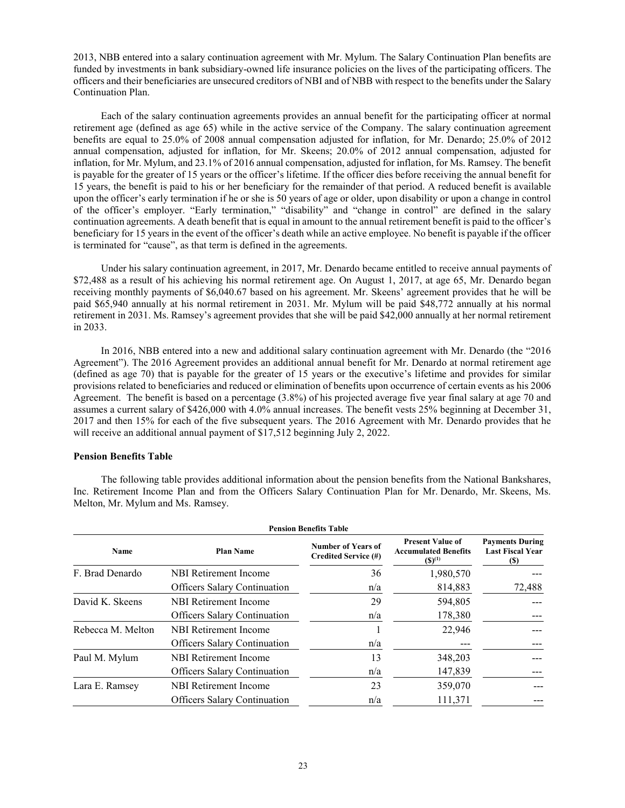2013, NBB entered into a salary continuation agreement with Mr. Mylum. The Salary Continuation Plan benefits are funded by investments in bank subsidiary-owned life insurance policies on the lives of the participating officers. The officers and their beneficiaries are unsecured creditors of NBI and of NBB with respect to the benefits under the Salary Continuation Plan.

Each of the salary continuation agreements provides an annual benefit for the participating officer at normal retirement age (defined as age 65) while in the active service of the Company. The salary continuation agreement benefits are equal to 25.0% of 2008 annual compensation adjusted for inflation, for Mr. Denardo; 25.0% of 2012 annual compensation, adjusted for inflation, for Mr. Skeens; 20.0% of 2012 annual compensation, adjusted for inflation, for Mr. Mylum, and 23.1% of 2016 annual compensation, adjusted for inflation, for Ms. Ramsey. The benefit is payable for the greater of 15 years or the officer's lifetime. If the officer dies before receiving the annual benefit for 15 years, the benefit is paid to his or her beneficiary for the remainder of that period. A reduced benefit is available upon the officer's early termination if he or she is 50 years of age or older, upon disability or upon a change in control of the officer's employer. "Early termination," "disability" and "change in control" are defined in the salary continuation agreements. A death benefit that is equal in amount to the annual retirement benefit is paid to the officer's beneficiary for 15 years in the event of the officer's death while an active employee. No benefit is payable if the officer is terminated for "cause", as that term is defined in the agreements.

Under his salary continuation agreement, in 2017, Mr. Denardo became entitled to receive annual payments of \$72,488 as a result of his achieving his normal retirement age. On August 1, 2017, at age 65, Mr. Denardo began receiving monthly payments of \$6,040.67 based on his agreement. Mr. Skeens' agreement provides that he will be paid \$65,940 annually at his normal retirement in 2031. Mr. Mylum will be paid \$48,772 annually at his normal retirement in 2031. Ms. Ramsey's agreement provides that she will be paid \$42,000 annually at her normal retirement in 2033.

In 2016, NBB entered into a new and additional salary continuation agreement with Mr. Denardo (the "2016 Agreement"). The 2016 Agreement provides an additional annual benefit for Mr. Denardo at normal retirement age (defined as age 70) that is payable for the greater of 15 years or the executive's lifetime and provides for similar provisions related to beneficiaries and reduced or elimination of benefits upon occurrence of certain events as his 2006 Agreement. The benefit is based on a percentage (3.8%) of his projected average five year final salary at age 70 and assumes a current salary of \$426,000 with 4.0% annual increases. The benefit vests 25% beginning at December 31, 2017 and then 15% for each of the five subsequent years. The 2016 Agreement with Mr. Denardo provides that he will receive an additional annual payment of \$17,512 beginning July 2, 2022.

# **Pension Benefits Table**

The following table provides additional information about the pension benefits from the National Bankshares, Inc. Retirement Income Plan and from the Officers Salary Continuation Plan for Mr. Denardo, Mr. Skeens, Ms. Melton, Mr. Mylum and Ms. Ramsey.

| <b>Pension Benefits Table</b> |                                     |                                                   |                                                                       |                                                           |  |  |
|-------------------------------|-------------------------------------|---------------------------------------------------|-----------------------------------------------------------------------|-----------------------------------------------------------|--|--|
| <b>Name</b>                   | <b>Plan Name</b>                    | <b>Number of Years of</b><br>Credited Service (#) | <b>Present Value of</b><br><b>Accumulated Benefits</b><br>$(S)^{(1)}$ | <b>Payments During</b><br><b>Last Fiscal Year</b><br>(\$) |  |  |
| F. Brad Denardo               | NBI Retirement Income               | 36                                                | 1,980,570                                                             |                                                           |  |  |
|                               | <b>Officers Salary Continuation</b> | n/a                                               | 814,883                                                               | 72,488                                                    |  |  |
| David K. Skeens               | NBI Retirement Income               | 29                                                | 594,805                                                               |                                                           |  |  |
|                               | <b>Officers Salary Continuation</b> | n/a                                               | 178,380                                                               |                                                           |  |  |
| Rebecca M. Melton             | <b>NBI</b> Retirement Income        |                                                   | 22,946                                                                |                                                           |  |  |
|                               | <b>Officers Salary Continuation</b> | n/a                                               |                                                                       |                                                           |  |  |
| Paul M. Mylum                 | NBI Retirement Income               | 13                                                | 348,203                                                               |                                                           |  |  |
|                               | <b>Officers Salary Continuation</b> | n/a                                               | 147,839                                                               |                                                           |  |  |
| Lara E. Ramsey                | NBI Retirement Income               | 23                                                | 359,070                                                               |                                                           |  |  |
|                               | <b>Officers Salary Continuation</b> | n/a                                               | 111,371                                                               |                                                           |  |  |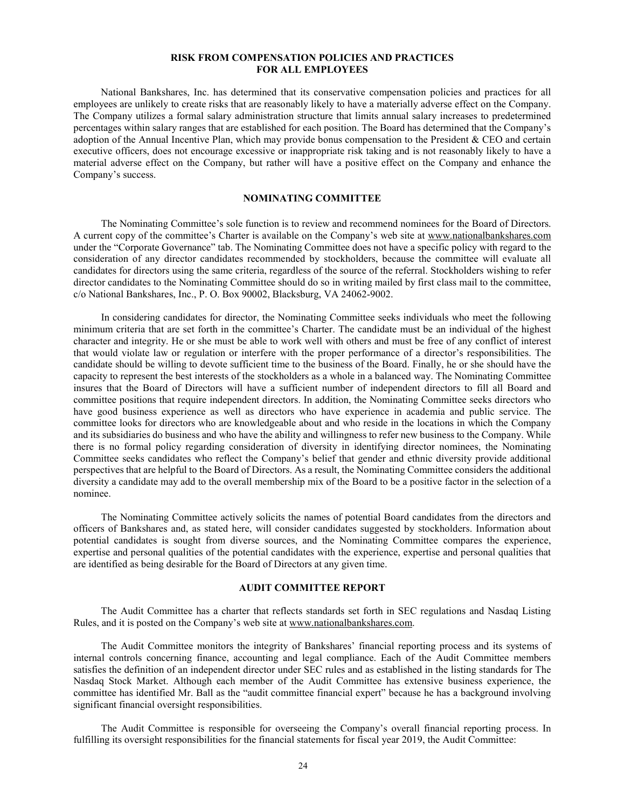#### **RISK FROM COMPENSATION POLICIES AND PRACTICES FOR ALL EMPLOYEES**

National Bankshares, Inc. has determined that its conservative compensation policies and practices for all employees are unlikely to create risks that are reasonably likely to have a materially adverse effect on the Company. The Company utilizes a formal salary administration structure that limits annual salary increases to predetermined percentages within salary ranges that are established for each position. The Board has determined that the Company's adoption of the Annual Incentive Plan, which may provide bonus compensation to the President & CEO and certain executive officers, does not encourage excessive or inappropriate risk taking and is not reasonably likely to have a material adverse effect on the Company, but rather will have a positive effect on the Company and enhance the Company's success.

# **NOMINATING COMMITTEE**

The Nominating Committee's sole function is to review and recommend nominees for the Board of Directors. A current copy of the committee's Charter is available on the Company's web site at [www.nationalbankshares.com](http://www.nationalbankshares.com/) under the "Corporate Governance" tab. The Nominating Committee does not have a specific policy with regard to the consideration of any director candidates recommended by stockholders, because the committee will evaluate all candidates for directors using the same criteria, regardless of the source of the referral. Stockholders wishing to refer director candidates to the Nominating Committee should do so in writing mailed by first class mail to the committee, c/o National Bankshares, Inc., P. O. Box 90002, Blacksburg, VA 24062-9002.

In considering candidates for director, the Nominating Committee seeks individuals who meet the following minimum criteria that are set forth in the committee's Charter. The candidate must be an individual of the highest character and integrity. He or she must be able to work well with others and must be free of any conflict of interest that would violate law or regulation or interfere with the proper performance of a director's responsibilities. The candidate should be willing to devote sufficient time to the business of the Board. Finally, he or she should have the capacity to represent the best interests of the stockholders as a whole in a balanced way. The Nominating Committee insures that the Board of Directors will have a sufficient number of independent directors to fill all Board and committee positions that require independent directors. In addition, the Nominating Committee seeks directors who have good business experience as well as directors who have experience in academia and public service. The committee looks for directors who are knowledgeable about and who reside in the locations in which the Company and its subsidiaries do business and who have the ability and willingness to refer new business to the Company. While there is no formal policy regarding consideration of diversity in identifying director nominees, the Nominating Committee seeks candidates who reflect the Company's belief that gender and ethnic diversity provide additional perspectives that are helpful to the Board of Directors. As a result, the Nominating Committee considers the additional diversity a candidate may add to the overall membership mix of the Board to be a positive factor in the selection of a nominee.

The Nominating Committee actively solicits the names of potential Board candidates from the directors and officers of Bankshares and, as stated here, will consider candidates suggested by stockholders. Information about potential candidates is sought from diverse sources, and the Nominating Committee compares the experience, expertise and personal qualities of the potential candidates with the experience, expertise and personal qualities that are identified as being desirable for the Board of Directors at any given time.

#### **AUDIT COMMITTEE REPORT**

The Audit Committee has a charter that reflects standards set forth in SEC regulations and Nasdaq Listing Rules, and it is posted on the Company's web site a[t www.nationalbankshares.com.](http://www.nationalbankshares.com/)

The Audit Committee monitors the integrity of Bankshares' financial reporting process and its systems of internal controls concerning finance, accounting and legal compliance. Each of the Audit Committee members satisfies the definition of an independent director under SEC rules and as established in the listing standards for The Nasdaq Stock Market. Although each member of the Audit Committee has extensive business experience, the committee has identified Mr. Ball as the "audit committee financial expert" because he has a background involving significant financial oversight responsibilities.

The Audit Committee is responsible for overseeing the Company's overall financial reporting process. In fulfilling its oversight responsibilities for the financial statements for fiscal year 2019, the Audit Committee: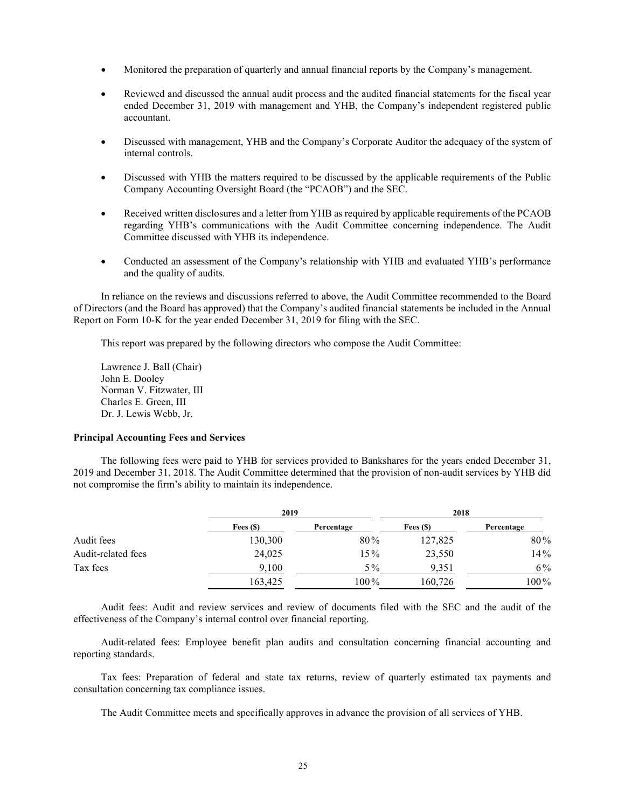- Monitored the preparation of quarterly and annual financial reports by the Company's management.
- Reviewed and discussed the annual audit process and the audited financial statements for the fiscal year ended December 31, 2019 with management and YHB, the Company's independent registered public accountant.
- Discussed with management, YHB and the Company's Corporate Auditor the adequacy of the system of internal controls.
- Discussed with YHB the matters required to be discussed by the applicable requirements of the Public Company Accounting Oversight Board (the "PCAOB") and the SEC.
- Received written disclosures and a letter from YHB as required by applicable requirements of the PCAOB regarding YHB's communications with the Audit Committee concerning independence. The Audit Committee discussed with YHB its independence.
- Conducted an assessment of the Company's relationship with YHB and evaluated YHB's performance and the quality of audits.

In reliance on the reviews and discussions referred to above, the Audit Committee recommended to the Board of Directors (and the Board has approved) that the Company's audited financial statements be included in the Annual Report on Form 10-K for the year ended December 31, 2019 for filing with the SEC.

This report was prepared by the following directors who compose the Audit Committee:

Lawrence J. Ball (Chair) John E. Dooley Norman V. Fitzwater, III Charles E. Green, III Dr. J. Lewis Webb, Jr.

# **Principal Accounting Fees and Services**

The following fees were paid to YHB for services provided to Bankshares for the years ended December 31, 2019 and December 31, 2018. The Audit Committee determined that the provision of non-audit services by YHB did not compromise the firm's ability to maintain its independence.

|                    | 2019       |            | 2018       |            |  |  |
|--------------------|------------|------------|------------|------------|--|--|
|                    | Fees $(S)$ | Percentage | Fees $(S)$ | Percentage |  |  |
| Audit fees         | 130,300    | 80%        | 127,825    | 80%        |  |  |
| Audit-related fees | 24,025     | 15%        | 23,550     | 14%        |  |  |
| Tax fees           | 9,100      | $5\%$      | 9.351      | 6%         |  |  |
|                    | 163,425    | 100%       | 160,726    | 100%       |  |  |

Audit fees: Audit and review services and review of documents filed with the SEC and the audit of the effectiveness of the Company's internal control over financial reporting.

Audit-related fees: Employee benefit plan audits and consultation concerning financial accounting and reporting standards.

Tax fees: Preparation of federal and state tax returns, review of quarterly estimated tax payments and consultation concerning tax compliance issues.

The Audit Committee meets and specifically approves in advance the provision of all services of YHB.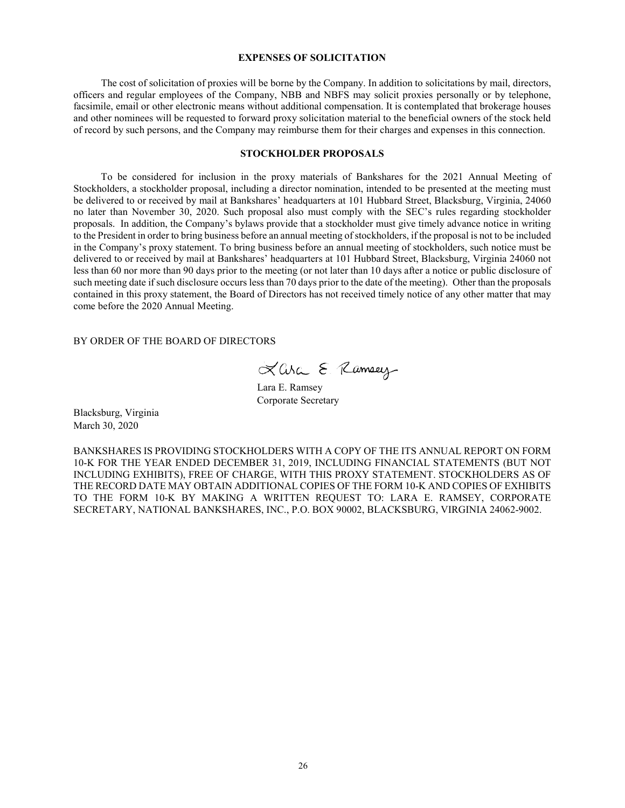# **EXPENSES OF SOLICITATION**

The cost of solicitation of proxies will be borne by the Company. In addition to solicitations by mail, directors, officers and regular employees of the Company, NBB and NBFS may solicit proxies personally or by telephone, facsimile, email or other electronic means without additional compensation. It is contemplated that brokerage houses and other nominees will be requested to forward proxy solicitation material to the beneficial owners of the stock held of record by such persons, and the Company may reimburse them for their charges and expenses in this connection.

# **STOCKHOLDER PROPOSALS**

To be considered for inclusion in the proxy materials of Bankshares for the 2021 Annual Meeting of Stockholders, a stockholder proposal, including a director nomination, intended to be presented at the meeting must be delivered to or received by mail at Bankshares' headquarters at 101 Hubbard Street, Blacksburg, Virginia, 24060 no later than November 30, 2020. Such proposal also must comply with the SEC's rules regarding stockholder proposals. In addition, the Company's bylaws provide that a stockholder must give timely advance notice in writing to the President in order to bring business before an annual meeting of stockholders, if the proposal is not to be included in the Company's proxy statement. To bring business before an annual meeting of stockholders, such notice must be delivered to or received by mail at Bankshares' headquarters at 101 Hubbard Street, Blacksburg, Virginia 24060 not less than 60 nor more than 90 days prior to the meeting (or not later than 10 days after a notice or public disclosure of such meeting date if such disclosure occurs less than 70 days prior to the date of the meeting). Other than the proposals contained in this proxy statement, the Board of Directors has not received timely notice of any other matter that may come before the 2020 Annual Meeting.

BY ORDER OF THE BOARD OF DIRECTORS

Lara E. Ramsey

Lara E. Ramsey Corporate Secretary

Blacksburg, Virginia March 30, 2020

BANKSHARES IS PROVIDING STOCKHOLDERS WITH A COPY OF THE ITS ANNUAL REPORT ON FORM 10-K FOR THE YEAR ENDED DECEMBER 31, 2019, INCLUDING FINANCIAL STATEMENTS (BUT NOT INCLUDING EXHIBITS), FREE OF CHARGE, WITH THIS PROXY STATEMENT. STOCKHOLDERS AS OF THE RECORD DATE MAY OBTAIN ADDITIONAL COPIES OF THE FORM 10-K AND COPIES OF EXHIBITS TO THE FORM 10-K BY MAKING A WRITTEN REQUEST TO: LARA E. RAMSEY, CORPORATE SECRETARY, NATIONAL BANKSHARES, INC., P.O. BOX 90002, BLACKSBURG, VIRGINIA 24062-9002.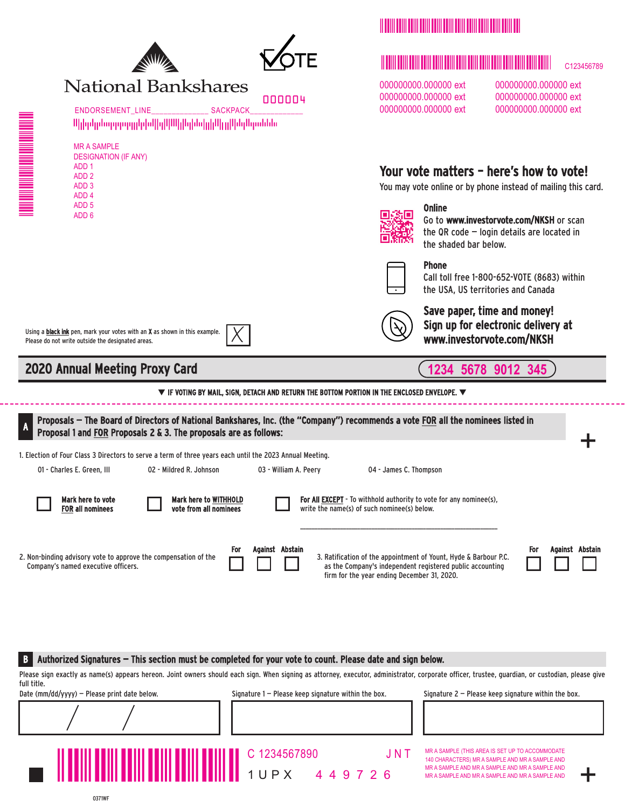



# **National Bankshares**

000004

ENDORSEMENT\_LINE\_\_\_\_\_\_\_\_\_\_\_\_\_\_\_\_ SACKPACK ՍիիրկրնորդորդըիլեվիկՍՍիիկեվիկՍիրիկելՍերաննե

| MR A SAMPI F                |
|-----------------------------|
| <b>DESIGNATION (IF ANY)</b> |
| ADD 1                       |
| ADD <sub>2</sub>            |
| ADD 3                       |
| ADD 4                       |
| ADD <sub>5</sub>            |

# MMMMMMMMMMMM

# M<br>MMMMMMMMMMMMMMMMMMMMMMMMMMMMMM C123456789

000000000.000000 ext 000000000.000000 ext 000000000.000000 ext 000000000.000000 ext 000000000.000000 ext 000000000.000000 ext

# Your vote matters – here's how to vote!

You may vote online or by phone instead of mailing this card.



#### Go to www.investorvote.com/NKSH or scan  $\sigma$  community star factor  $\sigma$ the QR code  $-$  login details are located in the shaded bar below.

# Phone

Online

Call toll free 1-800-652-VOTE (8683) within the USA, US territories and Canada



Save paper, time and money! Sign up for electronic delivery at www.investorvote.com/NKSH

**1234 5678 9012 345**

# 2020 Annual Meeting Proxy Card

Please do not write outside the designated areas.

ADD 6

 $\equiv$  $\equiv$  $\equiv$  $\equiv$  $\equiv$  $\equiv$  $\equiv$  $\equiv$  $\equiv$ 

Using a **black ink** pen, mark your votes with an **X** as shown in this example.

 $\blacktriangledown$  if voting by Mail, sign, detach and return the bottom portion in the enclosed envelope.  $\blacktriangledown$ 

Mark here to vote FOR all nominees 01 - Charles E. Green, III 02 - Mildred R. Johnson 03 - William A. Peery 04 - James C. Thompson Mark here to WITHHOLD vote from all nominees For All **EXCEPT** - To withhold authority to vote for any nominee(s), write the name(s) of such nominee(s) below. + Proposals — The Board of Directors of National Bankshares, Inc. (the "Company") recommends a vote FOR all the nominees listed in Proposal 1 and FOR Proposals 2 & 3. The proposals are as follows: A 2. Non-binding advisory vote to approve the compensation of the Company's named executive officers. 3. Ratification of the appointment of Yount, Hyde & Barbour P.C. as the Company's independent registered public accounting firm for the year ending December 31, 2020. 1. Election of Four Class 3 Directors to serve a term of three years each until the 2023 Annual Meeting. For Against Abstain For Against Abstain

B Authorized Signatures — This section must be completed for your vote to count. Please date and sign below.

Please sign exactly as name(s) appears hereon. Joint owners should each sign. When signing as attorney, executor, administrator, corporate officer, trustee, guardian, or custodian, please give full title.

MMMMMMM

Date (mm/dd/yyyy) – Please print date below. Signature 1 – Please keep signature within the box. Signature 2 – Please keep signature within the box.

1 U P X 4 4 9 7 2 6 C 1234567890 J N T

MR A SAMPLE (THIS AREA IS SET UP TO ACCOMMODATE 140 CHARACTERS) MR A SAMPLE AND MR A SAMPLE AND MR A SAMPLE AND MR A SAMPLE AND MR A SAMPLE AND MR A SAMPLE AND MR A SAMPLE AND MR A SAMPLE AND

+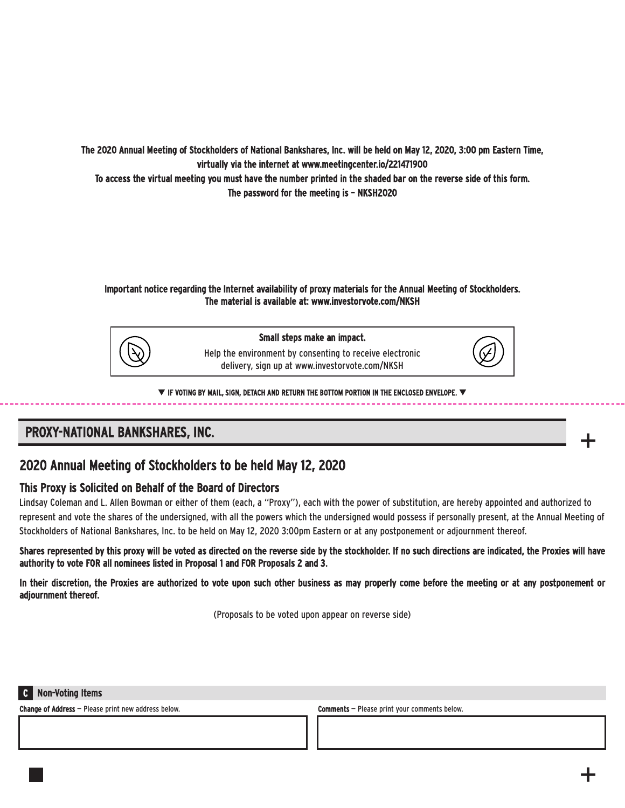The 2020 Annual Meeting of Stockholders of National Bankshares, Inc. will be held on May 12, 2020, 3:00 pm Eastern Time, virtually via the internet at www.meetingcenter.io/221471900

To access the virtual meeting you must have the number printed in the shaded bar on the reverse side of this form. The password for the meeting is – NKSH2020

# Important notice regarding the Internet availability of proxy materials for the Annual Meeting of Stockholders. The material is available at: www.investorvote.com/NKSH



Small steps make an impact.

Help the environment by consenting to receive electronic delivery, sign up at www.investorvote.com/NKSH



 $\blacktriangledown$  if voting by Mail, sign, detach and return the bottom portion in the enclosed envelope.  $\blacktriangledown$ 

# PROXY-NATIONAL BANKSHARES, INC.



# This Proxy is Solicited on Behalf of the Board of Directors

Lindsay Coleman and L. Allen Bowman or either of them (each, a "Proxy"), each with the power of substitution, are hereby appointed and authorized to represent and vote the shares of the undersigned, with all the powers which the undersigned would possess if personally present, at the Annual Meeting of Stockholders of National Bankshares, Inc. to be held on May 12, 2020 3:00pm Eastern or at any postponement or adjournment thereof.

Shares represented by this proxy will be voted as directed on the reverse side by the stockholder. If no such directions are indicated, the Proxies will have authority to vote FOR all nominees listed in Proposal 1 and FOR Proposals 2 and 3.

In their discretion, the Proxies are authorized to vote upon such other business as may properly come before the meeting or at any postponement or adjournment thereof.

(Proposals to be voted upon appear on reverse side)

# C Non-Voting Items

Change of Address – Please print new address below. Comments – Comments – Please print your comments below.

+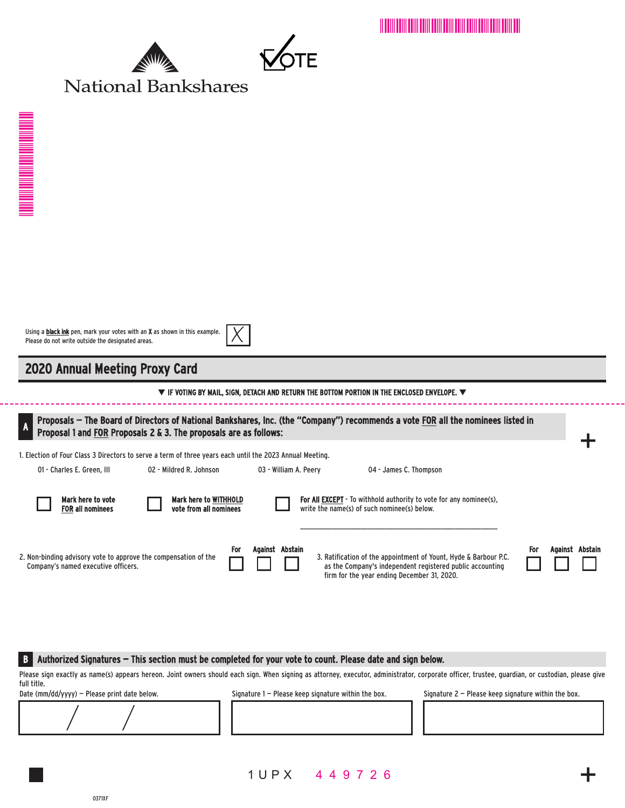MAMMMMMMMMMMMMMMMMMMM





| H |  |
|---|--|

# 2020 Annual Meeting Proxy Card

 $\equiv$  $\equiv$  $\equiv$  $\equiv$  $\equiv$  $\equiv$  $\equiv$  $\equiv$  $\equiv$ 

### $\blacktriangledown$  IF VOTING BY MAIL, SIGN, DETACH AND RETURN THE BOTTOM PORTION IN THE ENCLOSED ENVELOPE.  $\blacktriangledown$

| Proposals – The Board of Directors of National Bankshares, Inc. (the "Company") recommends a vote FOR all the nominees listed in<br>$\overline{A}$<br>Proposal 1 and FOR Proposals 2 & 3. The proposals are as follows:     |  |                         |     |                       |  |  |                        |                                             |                                                                                                                               |     |                 |  |
|-----------------------------------------------------------------------------------------------------------------------------------------------------------------------------------------------------------------------------|--|-------------------------|-----|-----------------------|--|--|------------------------|---------------------------------------------|-------------------------------------------------------------------------------------------------------------------------------|-----|-----------------|--|
| 1. Election of Four Class 3 Directors to serve a term of three years each until the 2023 Annual Meeting.                                                                                                                    |  |                         |     |                       |  |  |                        |                                             |                                                                                                                               |     |                 |  |
| 01 - Charles E. Green. III                                                                                                                                                                                                  |  | 02 - Mildred R. Johnson |     | 03 - William A. Peerv |  |  | 04 - James C. Thompson |                                             |                                                                                                                               |     |                 |  |
| Mark here to vote<br>Mark here to WITHHOLD<br><b>For All EXCEPT</b> - To withhold authority to vote for any nominee(s),<br><b>FOR all nominees</b><br>vote from all nominees<br>write the name(s) of such nominee(s) below. |  |                         |     |                       |  |  |                        |                                             |                                                                                                                               |     |                 |  |
| 2. Non-binding advisory vote to approve the compensation of the<br>Company's named executive officers.                                                                                                                      |  |                         | For | Against Abstain       |  |  |                        | firm for the year ending December 31, 2020. | 3. Ratification of the appointment of Yount, Hyde & Barbour P.C.<br>as the Company's independent registered public accounting | For | Against Abstain |  |

#### B Authorized Signatures — This section must be completed for your vote to count. Please date and sign below.

Please sign exactly as name(s) appears hereon. Joint owners should each sign. When signing as attorney, executor, administrator, corporate officer, trustee, guardian, or custodian, please give full title.

Date (mm/dd/yyyy) – Please print date below. Signature 1 – Please keep signature within the box. Signature 2 – Please keep signature within the box.

1 U P X 4 4 9 7 2 6